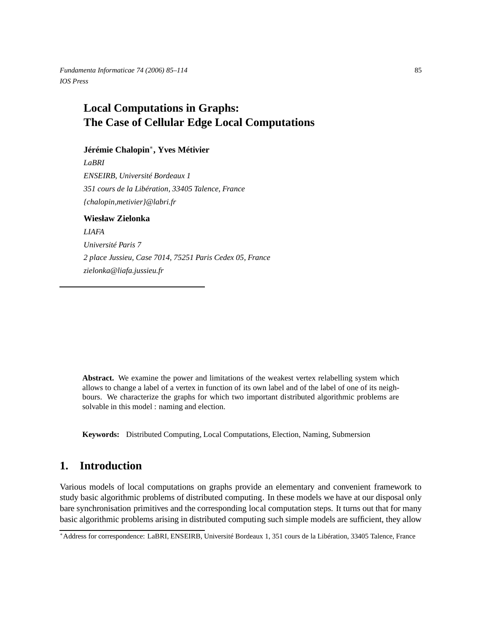*Fundamenta Informaticae 74 (2006) 85–114* 85 *IOS Press*

# **Local Computations in Graphs: The Case of Cellular Edge Local Computations**

# **Jérémie Chalopin**<sup>∗</sup> **, Yves Métivier**

*LaBRI ENSEIRB, Université Bordeaux 1 351 cours de la Libération, 33405 Talence, France {chalopin,metivier}@labri.fr*

**Wiesław Zielonka** *LIAFA Université Paris 7 2 place Jussieu, Case 7014, 75251 Paris Cedex 05, France zielonka@liafa.jussieu.fr*

**Abstract.** We examine the power and limitations of the weakest vertex relabelling system which allows to change a label of a vertex in function of its own label and of the label of one of its neighbours. We characterize the graphs for which two important distributed algorithmic problems are solvable in this model : naming and election.

**Keywords:** Distributed Computing, Local Computations, Election, Naming, Submersion

# **1. Introduction**

Various models of local computations on graphs provide an elementary and convenient framework to study basic algorithmic problems of distributed computing. In these models we have at our disposal only bare synchronisation primitives and the corresponding local computation steps. It turns out that for many basic algorithmic problems arising in distributed computing such simple models are sufficient, they allow

<sup>∗</sup>Address for correspondence: LaBRI, ENSEIRB, Université Bordeaux 1, 351 cours de la Libération, 33405 Talence, France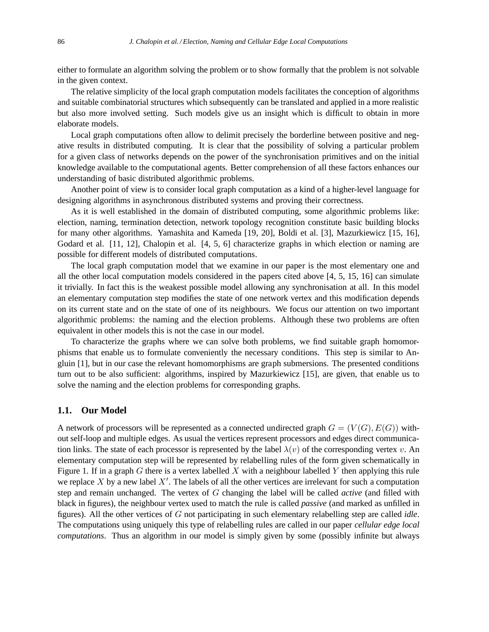either to formulate an algorithm solving the problem or to show formally that the problem is not solvable in the given context.

The relative simplicity of the local graph computation models facilitates the conception of algorithms and suitable combinatorial structures which subsequently can be translated and applied in a more realistic but also more involved setting. Such models give us an insight which is difficult to obtain in more elaborate models.

Local graph computations often allow to delimit precisely the borderline between positive and negative results in distributed computing. It is clear that the possibility of solving a particular problem for a given class of networks depends on the power of the synchronisation primitives and on the initial knowledge available to the computational agents. Better comprehension of all these factors enhances our understanding of basic distributed algorithmic problems.

Another point of view is to consider local graph computation as a kind of a higher-level language for designing algorithms in asynchronous distributed systems and proving their correctness.

As it is well established in the domain of distributed computing, some algorithmic problems like: election, naming, termination detection, network topology recognition constitute basic building blocks for many other algorithms. Yamashita and Kameda [19, 20], Boldi et al. [3], Mazurkiewicz [15, 16], Godard et al. [11, 12], Chalopin et al. [4, 5, 6] characterize graphs in which election or naming are possible for different models of distributed computations.

The local graph computation model that we examine in our paper is the most elementary one and all the other local computation models considered in the papers cited above [4, 5, 15, 16] can simulate it trivially. In fact this is the weakest possible model allowing any synchronisation at all. In this model an elementary computation step modifies the state of one network vertex and this modification depends on its current state and on the state of one of its neighbours. We focus our attention on two important algorithmic problems: the naming and the election problems. Although these two problems are often equivalent in other models this is not the case in our model.

To characterize the graphs where we can solve both problems, we find suitable graph homomorphisms that enable us to formulate conveniently the necessary conditions. This step is similar to Angluin [1], but in our case the relevant homomorphisms are graph submersions. The presented conditions turn out to be also sufficient: algorithms, inspired by Mazurkiewicz [15], are given, that enable us to solve the naming and the election problems for corresponding graphs.

## **1.1. Our Model**

A network of processors will be represented as a connected undirected graph  $G = (V(G), E(G))$  without self-loop and multiple edges. As usual the vertices represent processors and edges direct communication links. The state of each processor is represented by the label  $\lambda(v)$  of the corresponding vertex v. An elementary computation step will be represented by relabelling rules of the form given schematically in Figure 1. If in a graph G there is a vertex labelled X with a neighbour labelled Y then applying this rule we replace  $X$  by a new label  $X'$ . The labels of all the other vertices are irrelevant for such a computation step and remain unchanged. The vertex of G changing the label will be called *active* (and filled with black in figures), the neighbour vertex used to match the rule is called *passive* (and marked as unfilled in figures). All the other vertices of G not participating in such elementary relabelling step are called *idle*. The computations using uniquely this type of relabelling rules are called in our paper *cellular edge local computations*. Thus an algorithm in our model is simply given by some (possibly infinite but always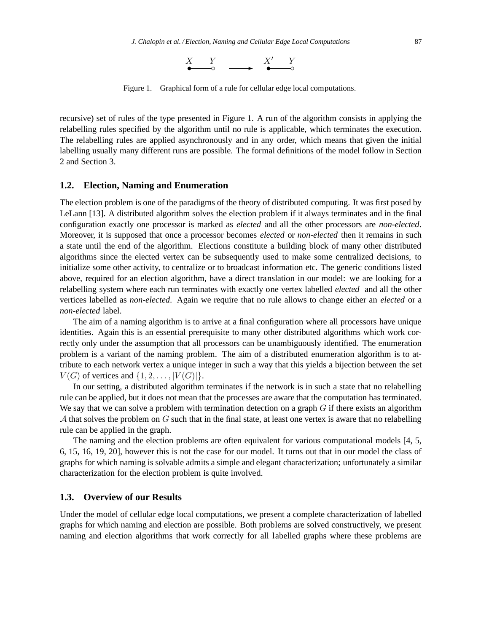

Figure 1. Graphical form of a rule for cellular edge local computations.

recursive) set of rules of the type presented in Figure 1. A run of the algorithm consists in applying the relabelling rules specified by the algorithm until no rule is applicable, which terminates the execution. The relabelling rules are applied asynchronously and in any order, which means that given the initial labelling usually many different runs are possible. The formal definitions of the model follow in Section 2 and Section 3.

#### **1.2. Election, Naming and Enumeration**

The election problem is one of the paradigms of the theory of distributed computing. It was first posed by LeLann [13]. A distributed algorithm solves the election problem if it always terminates and in the final configuration exactly one processor is marked as *elected* and all the other processors are *non-elected*. Moreover, it is supposed that once a processor becomes *elected* or *non-elected* then it remains in such a state until the end of the algorithm. Elections constitute a building block of many other distributed algorithms since the elected vertex can be subsequently used to make some centralized decisions, to initialize some other activity, to centralize or to broadcast information etc. The generic conditions listed above, required for an election algorithm, have a direct translation in our model: we are looking for a relabelling system where each run terminates with exactly one vertex labelled *elected* and all the other vertices labelled as *non-elected*. Again we require that no rule allows to change either an *elected* or a *non-elected* label.

The aim of a naming algorithm is to arrive at a final configuration where all processors have unique identities. Again this is an essential prerequisite to many other distributed algorithms which work correctly only under the assumption that all processors can be unambiguously identified. The enumeration problem is a variant of the naming problem. The aim of a distributed enumeration algorithm is to attribute to each network vertex a unique integer in such a way that this yields a bijection between the set  $V(G)$  of vertices and  $\{1, 2, \ldots, |V(G)|\}.$ 

In our setting, a distributed algorithm terminates if the network is in such a state that no relabelling rule can be applied, but it does not mean that the processes are aware that the computation has terminated. We say that we can solve a problem with termination detection on a graph  $G$  if there exists an algorithm A that solves the problem on  $G$  such that in the final state, at least one vertex is aware that no relabelling rule can be applied in the graph.

The naming and the election problems are often equivalent for various computational models [4, 5, 6, 15, 16, 19, 20], however this is not the case for our model. It turns out that in our model the class of graphs for which naming is solvable admits a simple and elegant characterization; unfortunately a similar characterization for the election problem is quite involved.

# **1.3. Overview of our Results**

Under the model of cellular edge local computations, we present a complete characterization of labelled graphs for which naming and election are possible. Both problems are solved constructively, we present naming and election algorithms that work correctly for all labelled graphs where these problems are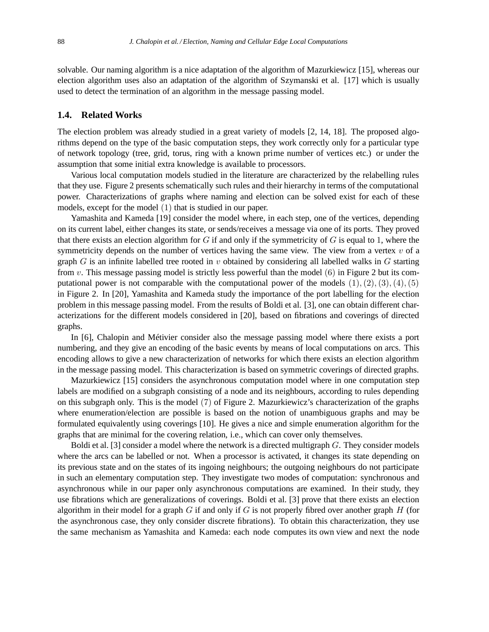solvable. Our naming algorithm is a nice adaptation of the algorithm of Mazurkiewicz [15], whereas our election algorithm uses also an adaptation of the algorithm of Szymanski et al. [17] which is usually used to detect the termination of an algorithm in the message passing model.

# **1.4. Related Works**

The election problem was already studied in a great variety of models [2, 14, 18]. The proposed algorithms depend on the type of the basic computation steps, they work correctly only for a particular type of network topology (tree, grid, torus, ring with a known prime number of vertices etc.) or under the assumption that some initial extra knowledge is available to processors.

Various local computation models studied in the literature are characterized by the relabelling rules that they use. Figure 2 presents schematically such rules and their hierarchy in terms of the computational power. Characterizations of graphs where naming and election can be solved exist for each of these models, except for the model (1) that is studied in our paper.

Yamashita and Kameda [19] consider the model where, in each step, one of the vertices, depending on its current label, either changes its state, or sends/receives a message via one of its ports. They proved that there exists an election algorithm for  $G$  if and only if the symmetricity of  $G$  is equal to 1, where the symmetricity depends on the number of vertices having the same view. The view from a vertex  $v$  of a graph G is an infinite labelled tree rooted in v obtained by considering all labelled walks in G starting from  $v$ . This message passing model is strictly less powerful than the model  $(6)$  in Figure 2 but its computational power is not comparable with the computational power of the models  $(1), (2), (3), (4), (5)$ in Figure 2. In [20], Yamashita and Kameda study the importance of the port labelling for the election problem in this message passing model. From the results of Boldi et al. [3], one can obtain different characterizations for the different models considered in [20], based on fibrations and coverings of directed graphs.

In [6], Chalopin and Métivier consider also the message passing model where there exists a port numbering, and they give an encoding of the basic events by means of local computations on arcs. This encoding allows to give a new characterization of networks for which there exists an election algorithm in the message passing model. This characterization is based on symmetric coverings of directed graphs.

Mazurkiewicz [15] considers the asynchronous computation model where in one computation step labels are modified on a subgraph consisting of a node and its neighbours, according to rules depending on this subgraph only. This is the model (7) of Figure 2. Mazurkiewicz's characterization of the graphs where enumeration/election are possible is based on the notion of unambiguous graphs and may be formulated equivalently using coverings [10]. He gives a nice and simple enumeration algorithm for the graphs that are minimal for the covering relation, i.e., which can cover only themselves.

Boldi et al.  $[3]$  consider a model where the network is a directed multigraph  $G$ . They consider models where the arcs can be labelled or not. When a processor is activated, it changes its state depending on its previous state and on the states of its ingoing neighbours; the outgoing neighbours do not participate in such an elementary computation step. They investigate two modes of computation: synchronous and asynchronous while in our paper only asynchronous computations are examined. In their study, they use fibrations which are generalizations of coverings. Boldi et al. [3] prove that there exists an election algorithm in their model for a graph G if and only if G is not properly fibred over another graph H (for the asynchronous case, they only consider discrete fibrations). To obtain this characterization, they use the same mechanism as Yamashita and Kameda: each node computes its own view and next the node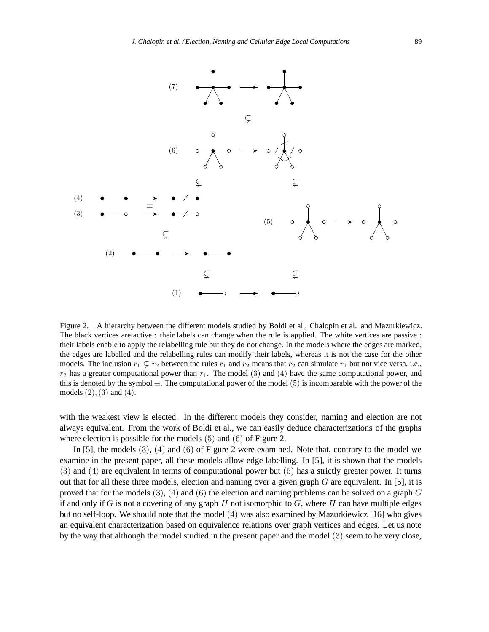

Figure 2. A hierarchy between the different models studied by Boldi et al., Chalopin et al. and Mazurkiewicz. The black vertices are active : their labels can change when the rule is applied. The white vertices are passive : their labels enable to apply the relabelling rule but they do not change. In the models where the edges are marked, the edges are labelled and the relabelling rules can modify their labels, whereas it is not the case for the other models. The inclusion  $r_1 \subsetneq r_2$  between the rules  $r_1$  and  $r_2$  means that  $r_2$  can simulate  $r_1$  but not vice versa, i.e.,  $r_2$  has a greater computational power than  $r_1$ . The model (3) and (4) have the same computational power, and this is denoted by the symbol ≡. The computational power of the model (5) is incomparable with the power of the models  $(2)$ ,  $(3)$  and  $(4)$ .

with the weakest view is elected. In the different models they consider, naming and election are not always equivalent. From the work of Boldi et al., we can easily deduce characterizations of the graphs where election is possible for the models (5) and (6) of Figure 2.

In [5], the models (3), (4) and (6) of Figure 2 were examined. Note that, contrary to the model we examine in the present paper, all these models allow edge labelling. In [5], it is shown that the models (3) and (4) are equivalent in terms of computational power but (6) has a strictly greater power. It turns out that for all these three models, election and naming over a given graph  $G$  are equivalent. In [5], it is proved that for the models  $(3)$ ,  $(4)$  and  $(6)$  the election and naming problems can be solved on a graph G if and only if G is not a covering of any graph H not isomorphic to  $G$ , where H can have multiple edges but no self-loop. We should note that the model (4) was also examined by Mazurkiewicz [16] who gives an equivalent characterization based on equivalence relations over graph vertices and edges. Let us note by the way that although the model studied in the present paper and the model (3) seem to be very close,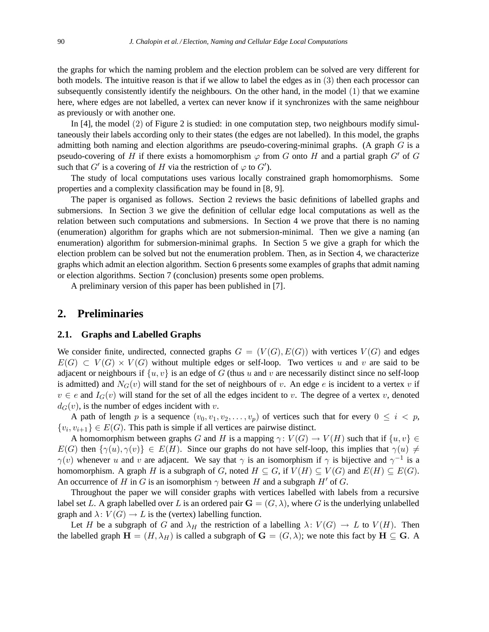the graphs for which the naming problem and the election problem can be solved are very different for both models. The intuitive reason is that if we allow to label the edges as in (3) then each processor can subsequently consistently identify the neighbours. On the other hand, in the model  $(1)$  that we examine here, where edges are not labelled, a vertex can never know if it synchronizes with the same neighbour as previously or with another one.

In [4], the model (2) of Figure 2 is studied: in one computation step, two neighbours modify simultaneously their labels according only to their states (the edges are not labelled). In this model, the graphs admitting both naming and election algorithms are pseudo-covering-minimal graphs. (A graph  $G$  is a pseudo-covering of H if there exists a homomorphism  $\varphi$  from G onto H and a partial graph G' of G such that  $G'$  is a covering of H via the restriction of  $\varphi$  to  $G'$ ).

The study of local computations uses various locally constrained graph homomorphisms. Some properties and a complexity classification may be found in [8, 9].

The paper is organised as follows. Section 2 reviews the basic definitions of labelled graphs and submersions. In Section 3 we give the definition of cellular edge local computations as well as the relation between such computations and submersions. In Section 4 we prove that there is no naming (enumeration) algorithm for graphs which are not submersion-minimal. Then we give a naming (an enumeration) algorithm for submersion-minimal graphs. In Section 5 we give a graph for which the election problem can be solved but not the enumeration problem. Then, as in Section 4, we characterize graphs which admit an election algorithm. Section 6 presents some examples of graphs that admit naming or election algorithms. Section 7 (conclusion) presents some open problems.

A preliminary version of this paper has been published in [7].

# **2. Preliminaries**

#### **2.1. Graphs and Labelled Graphs**

We consider finite, undirected, connected graphs  $G = (V(G), E(G))$  with vertices  $V(G)$  and edges  $E(G) \subset V(G) \times V(G)$  without multiple edges or self-loop. Two vertices u and v are said to be adjacent or neighbours if  $\{u, v\}$  is an edge of G (thus u and v are necessarily distinct since no self-loop is admitted) and  $N_G(v)$  will stand for the set of neighbours of v. An edge e is incident to a vertex v if  $v \in e$  and  $I_G(v)$  will stand for the set of all the edges incident to v. The degree of a vertex v, denoted  $d_G(v)$ , is the number of edges incident with v.

A path of length p is a sequence  $(v_0, v_1, v_2, \ldots, v_p)$  of vertices such that for every  $0 \le i < p$ ,  $\{v_i, v_{i+1}\} \in E(G)$ . This path is simple if all vertices are pairwise distinct.

A homomorphism between graphs G and H is a mapping  $\gamma: V(G) \to V(H)$  such that if  $\{u, v\} \in$  $E(G)$  then  $\{\gamma(u), \gamma(v)\}\in E(H)$ . Since our graphs do not have self-loop, this implies that  $\gamma(u) \neq$  $\gamma(v)$  whenever u and v are adjacent. We say that  $\gamma$  is an isomorphism if  $\gamma$  is bijective and  $\gamma^{-1}$  is a homomorphism. A graph H is a subgraph of G, noted  $H \subseteq G$ , if  $V(H) \subseteq V(G)$  and  $E(H) \subseteq E(G)$ . An occurrence of H in G is an isomorphism  $\gamma$  between H and a subgraph H' of G.

Throughout the paper we will consider graphs with vertices labelled with labels from a recursive label set L. A graph labelled over L is an ordered pair  $\mathbf{G} = (G, \lambda)$ , where G is the underlying unlabelled graph and  $\lambda: V(G) \to L$  is the (vertex) labelling function.

Let H be a subgraph of G and  $\lambda_H$  the restriction of a labelling  $\lambda: V(G) \to L$  to  $V(H)$ . Then the labelled graph  $\mathbf{H} = (H, \lambda_H)$  is called a subgraph of  $\mathbf{G} = (G, \lambda)$ ; we note this fact by  $\mathbf{H} \subseteq \mathbf{G}$ . A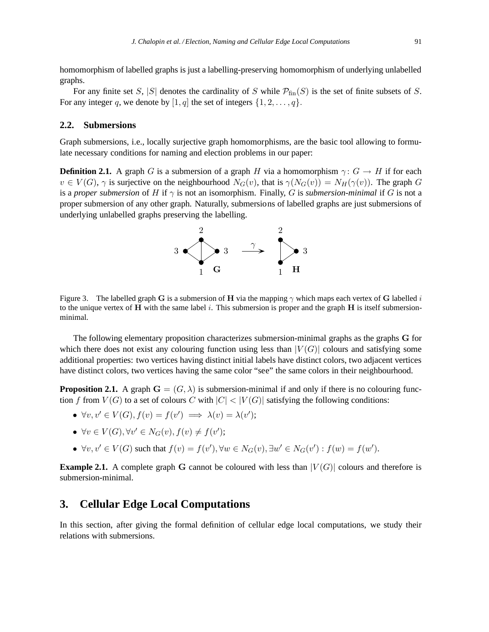homomorphism of labelled graphs is just a labelling-preserving homomorphism of underlying unlabelled graphs.

For any finite set S, |S| denotes the cardinality of S while  $\mathcal{P}_{fin}(S)$  is the set of finite subsets of S. For any integer q, we denote by  $[1, q]$  the set of integers  $\{1, 2, \ldots, q\}$ .

# **2.2. Submersions**

Graph submersions, i.e., locally surjective graph homomorphisms, are the basic tool allowing to formulate necessary conditions for naming and election problems in our paper:

**Definition 2.1.** A graph G is a submersion of a graph H via a homomorphism  $\gamma: G \to H$  if for each  $v \in V(G)$ ,  $\gamma$  is surjective on the neighbourhood  $N_G(v)$ , that is  $\gamma(N_G(v)) = N_H(\gamma(v))$ . The graph G is a *proper submersion* of H if  $\gamma$  is not an isomorphism. Finally, G is *submersion-minimal* if G is not a proper submersion of any other graph. Naturally, submersions of labelled graphs are just submersions of underlying unlabelled graphs preserving the labelling.



Figure 3. The labelled graph G is a submersion of H via the mapping  $\gamma$  which maps each vertex of G labelled i to the unique vertex of H with the same label i. This submersion is proper and the graph H is itself submersionminimal.

The following elementary proposition characterizes submersion-minimal graphs as the graphs G for which there does not exist any colouring function using less than  $|V(G)|$  colours and satisfying some additional properties: two vertices having distinct initial labels have distinct colors, two adjacent vertices have distinct colors, two vertices having the same color "see" the same colors in their neighbourhood.

**Proposition 2.1.** A graph  $G = (G, \lambda)$  is submersion-minimal if and only if there is no colouring function f from  $V(G)$  to a set of colours C with  $|C| < |V(G)|$  satisfying the following conditions:

- $\forall v, v' \in V(G), f(v) = f(v') \implies \lambda(v) = \lambda(v')$ ;
- $\forall v \in V(G), \forall v' \in N_G(v), f(v) \neq f(v');$
- $\forall v, v' \in V(G)$  such that  $f(v) = f(v'), \forall w \in N_G(v), \exists w' \in N_G(v') : f(w) = f(w').$

**Example 2.1.** A complete graph G cannot be coloured with less than  $|V(G)|$  colours and therefore is submersion-minimal.

# **3. Cellular Edge Local Computations**

In this section, after giving the formal definition of cellular edge local computations, we study their relations with submersions.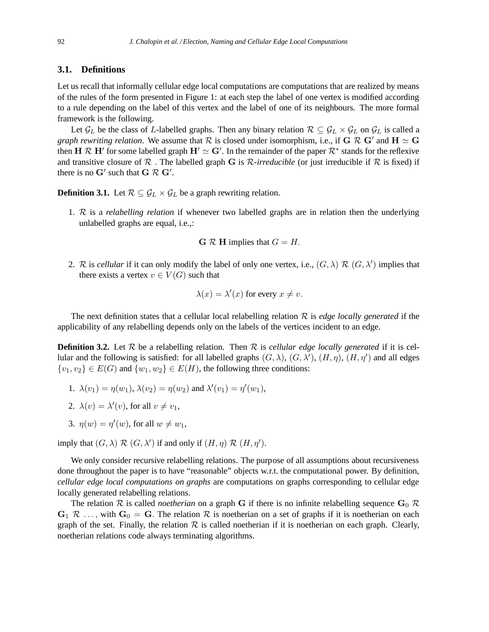## **3.1. Definitions**

Let us recall that informally cellular edge local computations are computations that are realized by means of the rules of the form presented in Figure 1: at each step the label of one vertex is modified according to a rule depending on the label of this vertex and the label of one of its neighbours. The more formal framework is the following.

Let  $\mathcal{G}_L$  be the class of L-labelled graphs. Then any binary relation  $\mathcal{R} \subseteq \mathcal{G}_L \times \mathcal{G}_L$  on  $\mathcal{G}_L$  is called a *graph rewriting relation*. We assume that  $R$  is closed under isomorphism, i.e., if  $G R G'$  and  $H \simeq G$ then  $H \mathcal{R} H'$  for some labelled graph  $H' \simeq G'$ . In the remainder of the paper  $\mathcal{R}^*$  stands for the reflexive and transitive closure of  $R$ . The labelled graph G is  $R$ -irreducible (or just irreducible if R is fixed) if there is no  $G'$  such that  $G \mathcal{R} G'$ .

**Definition 3.1.** Let  $\mathcal{R} \subseteq \mathcal{G}_L \times \mathcal{G}_L$  be a graph rewriting relation.

1. R is a *relabelling relation* if whenever two labelled graphs are in relation then the underlying unlabelled graphs are equal, i.e.,:

 $\mathbf{G} \mathcal{R} \mathbf{H}$  implies that  $G = H$ .

2. R is *cellular* if it can only modify the label of only one vertex, i.e.,  $(G, \lambda)$  R  $(G, \lambda')$  implies that there exists a vertex  $v \in V(G)$  such that

$$
\lambda(x) = \lambda'(x) \text{ for every } x \neq v.
$$

The next definition states that a cellular local relabelling relation  $R$  is *edge locally generated* if the applicability of any relabelling depends only on the labels of the vertices incident to an edge.

**Definition 3.2.** Let  $\mathcal{R}$  be a relabelling relation. Then  $\mathcal{R}$  is *cellular edge locally generated* if it is cellular and the following is satisfied: for all labelled graphs  $(G, \lambda), (G, \lambda'), (H, \eta), (H, \eta')$  and all edges  $\{v_1, v_2\} \in E(G)$  and  $\{w_1, w_2\} \in E(H)$ , the following three conditions:

- 1.  $\lambda(v_1) = \eta(w_1), \lambda(v_2) = \eta(w_2)$  and  $\lambda'(v_1) = \eta'(w_1)$ ,
- 2.  $\lambda(v) = \lambda'(v)$ , for all  $v \neq v_1$ ,
- 3.  $\eta(w) = \eta'(w)$ , for all  $w \neq w_1$ ,

imply that  $(G, \lambda) \mathcal{R} (G, \lambda')$  if and only if  $(H, \eta) \mathcal{R} (H, \eta')$ .

We only consider recursive relabelling relations. The purpose of all assumptions about recursiveness done throughout the paper is to have "reasonable" objects w.r.t. the computational power. By definition, *cellular edge local computations on graphs* are computations on graphs corresponding to cellular edge locally generated relabelling relations.

The relation  $R$  is called *noetherian* on a graph G if there is no infinite relabelling sequence  $G_0$   $R$  $\mathbf{G}_1 \mathcal{R} \dots$ , with  $\mathbf{G}_0 = \mathbf{G}$ . The relation  $\mathcal{R}$  is noetherian on a set of graphs if it is noetherian on each graph of the set. Finally, the relation  $R$  is called noetherian if it is noetherian on each graph. Clearly, noetherian relations code always terminating algorithms.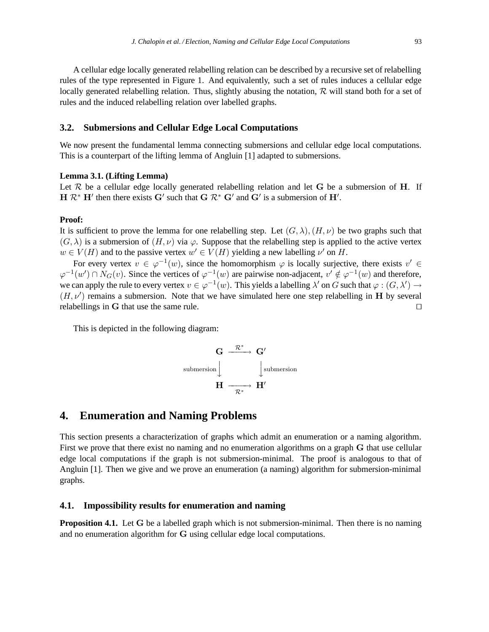A cellular edge locally generated relabelling relation can be described by a recursive set of relabelling rules of the type represented in Figure 1. And equivalently, such a set of rules induces a cellular edge locally generated relabelling relation. Thus, slightly abusing the notation,  $\mathcal R$  will stand both for a set of rules and the induced relabelling relation over labelled graphs.

# **3.2. Submersions and Cellular Edge Local Computations**

We now present the fundamental lemma connecting submersions and cellular edge local computations. This is a counterpart of the lifting lemma of Angluin [1] adapted to submersions.

## **Lemma 3.1. (Lifting Lemma)**

Let  $R$  be a cellular edge locally generated relabelling relation and let G be a submersion of H. If  $H \mathcal{R}^*$  H' then there exists G' such that G  $\mathcal{R}^*$  G' and G' is a submersion of H'.

#### **Proof:**

It is sufficient to prove the lemma for one relabelling step. Let  $(G, \lambda)$ ,  $(H, \nu)$  be two graphs such that  $(G, \lambda)$  is a submersion of  $(H, \nu)$  via  $\varphi$ . Suppose that the relabelling step is applied to the active vertex  $w \in V(H)$  and to the passive vertex  $w' \in V(H)$  yielding a new labelling  $\nu'$  on H.

For every vertex  $v \in \varphi^{-1}(w)$ , since the homomorphism  $\varphi$  is locally surjective, there exists  $v' \in$  $\varphi^{-1}(w') \cap N_G(v)$ . Since the vertices of  $\varphi^{-1}(w)$  are pairwise non-adjacent,  $v' \notin \varphi^{-1}(w)$  and therefore, we can apply the rule to every vertex  $v \in \varphi^{-1}(w)$ . This yields a labelling  $\lambda'$  on G such that  $\varphi : (G, \lambda') \to$  $(H, \nu')$  remains a submersion. Note that we have simulated here one step relabelling in H by several relabellings in G that use the same rule. □

This is depicted in the following diagram:

$$
\begin{array}{ccc}\n & G & \xrightarrow{\mathcal{R}^*} & G' \\
\downarrow^{\text{submersion}} & & \downarrow^{\text{submersion}} \\
 & H & \xrightarrow{\mathcal{R}^*} & H'\n\end{array}
$$

# **4. Enumeration and Naming Problems**

This section presents a characterization of graphs which admit an enumeration or a naming algorithm. First we prove that there exist no naming and no enumeration algorithms on a graph G that use cellular edge local computations if the graph is not submersion-minimal. The proof is analogous to that of Angluin [1]. Then we give and we prove an enumeration (a naming) algorithm for submersion-minimal graphs.

#### **4.1. Impossibility results for enumeration and naming**

**Proposition 4.1.** Let G be a labelled graph which is not submersion-minimal. Then there is no naming and no enumeration algorithm for G using cellular edge local computations.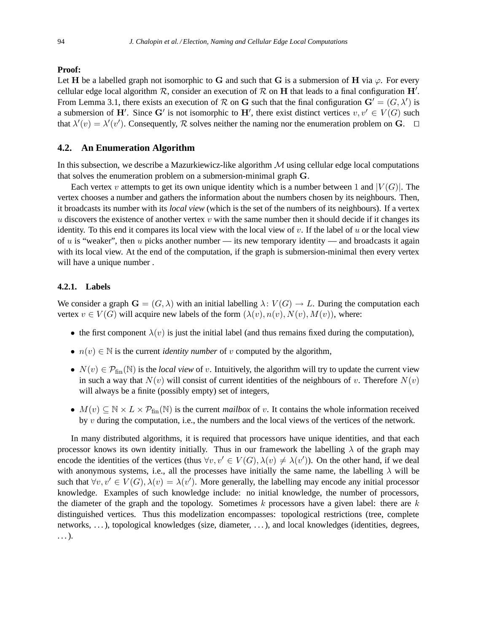#### **Proof:**

Let H be a labelled graph not isomorphic to G and such that G is a submersion of H via  $\varphi$ . For every cellular edge local algorithm  $R$ , consider an execution of  $R$  on  $H$  that leads to a final configuration  $H'$ . From Lemma 3.1, there exists an execution of R on G such that the final configuration  $G' = (G, \lambda')$  is a submersion of H'. Since G' is not isomorphic to H', there exist distinct vertices  $v, v' \in V(G)$  such that  $\lambda'(v) = \lambda'(v')$ . Consequently, R solves neither the naming nor the enumeration problem on G.  $\Box$ 

#### **4.2. An Enumeration Algorithm**

In this subsection, we describe a Mazurkiewicz-like algorithm  $M$  using cellular edge local computations that solves the enumeration problem on a submersion-minimal graph G.

Each vertex v attempts to get its own unique identity which is a number between 1 and  $|V(G)|$ . The vertex chooses a number and gathers the information about the numbers chosen by its neighbours. Then, it broadcasts its number with its *local view* (which is the set of the numbers of its neighbours). If a vertex u discovers the existence of another vertex v with the same number then it should decide if it changes its identity. To this end it compares its local view with the local view of v. If the label of u or the local view of u is "weaker", then u picks another number — its new temporary identity — and broadcasts it again with its local view. At the end of the computation, if the graph is submersion-minimal then every vertex will have a unique number .

## **4.2.1. Labels**

We consider a graph  $\mathbf{G} = (G, \lambda)$  with an initial labelling  $\lambda: V(G) \to L$ . During the computation each vertex  $v \in V(G)$  will acquire new labels of the form  $(\lambda(v), n(v), N(v), M(v))$ , where:

- the first component  $\lambda(v)$  is just the initial label (and thus remains fixed during the computation),
- $n(v) \in \mathbb{N}$  is the current *identity number* of v computed by the algorithm,
- $N(v) \in \mathcal{P}_{fin}(\mathbb{N})$  is the *local view* of v. Intuitively, the algorithm will try to update the current view in such a way that  $N(v)$  will consist of current identities of the neighbours of v. Therefore  $N(v)$ will always be a finite (possibly empty) set of integers,
- $M(v) \subseteq \mathbb{N} \times L \times \mathcal{P}_{fin}(\mathbb{N})$  is the current *mailbox* of v. It contains the whole information received by  $v$  during the computation, i.e., the numbers and the local views of the vertices of the network.

In many distributed algorithms, it is required that processors have unique identities, and that each processor knows its own identity initially. Thus in our framework the labelling  $\lambda$  of the graph may encode the identities of the vertices (thus  $\forall v, v' \in V(G), \lambda(v) \neq \lambda(v')$ ). On the other hand, if we deal with anonymous systems, i.e., all the processes have initially the same name, the labelling  $\lambda$  will be such that  $\forall v, v' \in V(G), \lambda(v) = \lambda(v')$ . More generally, the labelling may encode any initial processor knowledge. Examples of such knowledge include: no initial knowledge, the number of processors, the diameter of the graph and the topology. Sometimes  $k$  processors have a given label: there are  $k$ distinguished vertices. Thus this modelization encompasses: topological restrictions (tree, complete networks, . . . ), topological knowledges (size, diameter, . . . ), and local knowledges (identities, degrees, . . . ).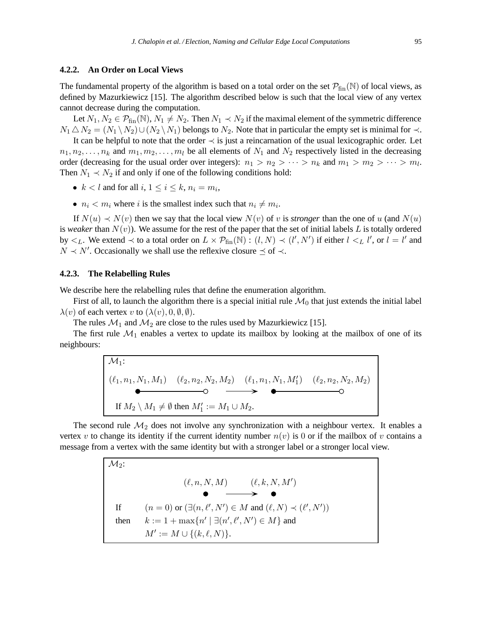#### **4.2.2. An Order on Local Views**

The fundamental property of the algorithm is based on a total order on the set  $\mathcal{P}_{fin}(\mathbb{N})$  of local views, as defined by Mazurkiewicz [15]. The algorithm described below is such that the local view of any vertex cannot decrease during the computation.

Let  $N_1, N_2 \in \mathcal{P}_{fin}(\mathbb{N}), N_1 \neq N_2$ . Then  $N_1 \prec N_2$  if the maximal element of the symmetric difference  $N_1 \triangle N_2 = (N_1 \setminus N_2) \cup (N_2 \setminus N_1)$  belongs to  $N_2$ . Note that in particular the empty set is minimal for  $\prec$ .

It can be helpful to note that the order ≺ is just a reincarnation of the usual lexicographic order. Let  $n_1, n_2, \ldots, n_k$  and  $m_1, m_2, \ldots, m_l$  be all elements of  $N_1$  and  $N_2$  respectively listed in the decreasing order (decreasing for the usual order over integers):  $n_1 > n_2 > \cdots > n_k$  and  $m_1 > m_2 > \cdots > m_l$ . Then  $N_1 \prec N_2$  if and only if one of the following conditions hold:

- $k < l$  and for all  $i, 1 \le i \le k$ ,  $n_i = m_i$ ,
- $n_i < m_i$  where i is the smallest index such that  $n_i \neq m_i$ .

If  $N(u) \prec N(v)$  then we say that the local view  $N(v)$  of v is *stronger* than the one of u (and  $N(u)$ ) is *weaker* than  $N(v)$ ). We assume for the rest of the paper that the set of initial labels L is totally ordered by  $\lt_L$ . We extend  $\lt$  to a total order on  $L \times \mathcal{P}_{fin}(\mathbb{N}) : (l, N) \lt (l', N')$  if either  $l \lt_L l'$ , or  $l = l'$  and  $N \prec N'$ . Occasionally we shall use the reflexive closure  $\preceq$  of  $\prec$ .

#### **4.2.3. The Relabelling Rules**

We describe here the relabelling rules that define the enumeration algorithm.

First of all, to launch the algorithm there is a special initial rule  $\mathcal{M}_0$  that just extends the initial label  $\lambda(v)$  of each vertex v to  $(\lambda(v), 0, \emptyset, \emptyset)$ .

The rules  $\mathcal{M}_1$  and  $\mathcal{M}_2$  are close to the rules used by Mazurkiewicz [15].

The first rule  $\mathcal{M}_1$  enables a vertex to update its mailbox by looking at the mailbox of one of its neighbours:

$$
\mathcal{M}_1:
$$
\n
$$
(\ell_1, n_1, N_1, M_1) \quad (\ell_2, n_2, N_2, M_2) \quad (\ell_1, n_1, N_1, M'_1) \quad (\ell_2, n_2, N_2, M_2)
$$
\n
$$
\longrightarrow \qquad \longrightarrow \qquad \longrightarrow \qquad \longrightarrow
$$
\nIf  $M_2 \setminus M_1 \neq \emptyset$  then  $M'_1 := M_1 \cup M_2$ .

The second rule  $\mathcal{M}_2$  does not involve any synchronization with a neighbour vertex. It enables a vertex v to change its identity if the current identity number  $n(v)$  is 0 or if the mailbox of v contains a message from a vertex with the same identity but with a stronger label or a stronger local view.

$$
M_2:
$$
\n
$$
\begin{array}{ll}\n(\ell, n, N, M) & (\ell, k, N, M') \\
\bullet & \bullet \longrightarrow & \bullet \\
\text{If} & (n = 0) \text{ or } (\exists (n, \ell', N') \in M \text{ and } (\ell, N) \prec (\ell', N')) \\
\text{then} & k := 1 + \max\{n' \mid \exists (n', \ell', N') \in M\} \text{ and } \\
M' := M \cup \{(k, \ell, N)\}.\n\end{array}
$$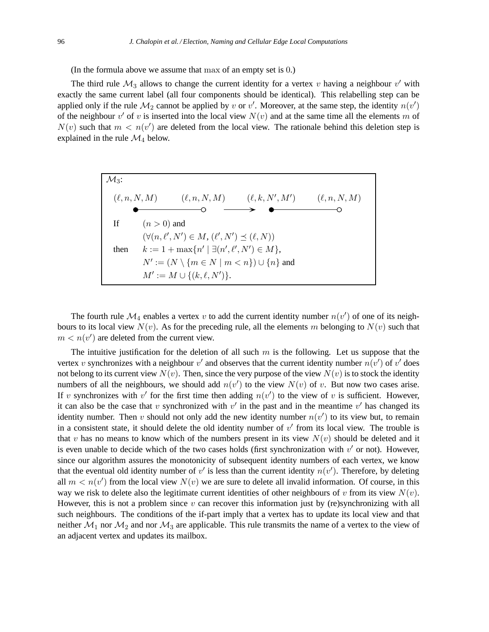(In the formula above we assume that max of an empty set is 0.)

The third rule  $\mathcal{M}_3$  allows to change the current identity for a vertex v having a neighbour v' with exactly the same current label (all four components should be identical). This relabelling step can be applied only if the rule  $\mathcal{M}_2$  cannot be applied by v or v'. Moreover, at the same step, the identity  $n(v')$ of the neighbour  $v'$  of v is inserted into the local view  $N(v)$  and at the same time all the elements m of  $N(v)$  such that  $m < n(v')$  are deleted from the local view. The rationale behind this deletion step is explained in the rule  $\mathcal{M}_4$  below.

| $\mathcal{M}_3$ : |                                                                                                                                                                                        |                                   |                                                                           |  |
|-------------------|----------------------------------------------------------------------------------------------------------------------------------------------------------------------------------------|-----------------------------------|---------------------------------------------------------------------------|--|
|                   |                                                                                                                                                                                        |                                   | $(\ell, n, N, M)$ $(\ell, n, N, M)$ $(\ell, k, N', M')$ $(\ell, n, N, M)$ |  |
| If $\Box$         | $(n>0)$ and                                                                                                                                                                            |                                   |                                                                           |  |
| then              | $(\forall (n,\ell',N')\in M, (\ell',N')\preceq (\ell,N))$<br>$k := 1 + \max\{n' \mid \exists (n', \ell', N') \in M\},\$<br>$N' := (N \setminus \{m \in N \mid m < n\}) \cup \{n\}$ and |                                   |                                                                           |  |
|                   |                                                                                                                                                                                        | $M' := M \cup \{(k, \ell, N')\}.$ |                                                                           |  |

The fourth rule  $\mathcal{M}_4$  enables a vertex v to add the current identity number  $n(v')$  of one of its neighbours to its local view  $N(v)$ . As for the preceding rule, all the elements m belonging to  $N(v)$  such that  $m < n(v')$  are deleted from the current view.

The intuitive justification for the deletion of all such  $m$  is the following. Let us suppose that the vertex v synchronizes with a neighbour v' and observes that the current identity number  $n(v')$  of v' does not belong to its current view  $N(v)$ . Then, since the very purpose of the view  $N(v)$  is to stock the identity numbers of all the neighbours, we should add  $n(v')$  to the view  $N(v)$  of v. But now two cases arise. If v synchronizes with  $v'$  for the first time then adding  $n(v')$  to the view of v is sufficient. However, it can also be the case that v synchronized with  $v'$  in the past and in the meantime  $v'$  has changed its identity number. Then v should not only add the new identity number  $n(v')$  to its view but, to remain in a consistent state, it should delete the old identity number of  $v'$  from its local view. The trouble is that v has no means to know which of the numbers present in its view  $N(v)$  should be deleted and it is even unable to decide which of the two cases holds (first synchronization with  $v'$  or not). However, since our algorithm assures the monotonicity of subsequent identity numbers of each vertex, we know that the eventual old identity number of  $v'$  is less than the current identity  $n(v')$ . Therefore, by deleting all  $m < n(v')$  from the local view  $N(v)$  we are sure to delete all invalid information. Of course, in this way we risk to delete also the legitimate current identities of other neighbours of v from its view  $N(v)$ . However, this is not a problem since  $v$  can recover this information just by (re)synchronizing with all such neighbours. The conditions of the if-part imply that a vertex has to update its local view and that neither  $\mathcal{M}_1$  nor  $\mathcal{M}_2$  and nor  $\mathcal{M}_3$  are applicable. This rule transmits the name of a vertex to the view of an adjacent vertex and updates its mailbox.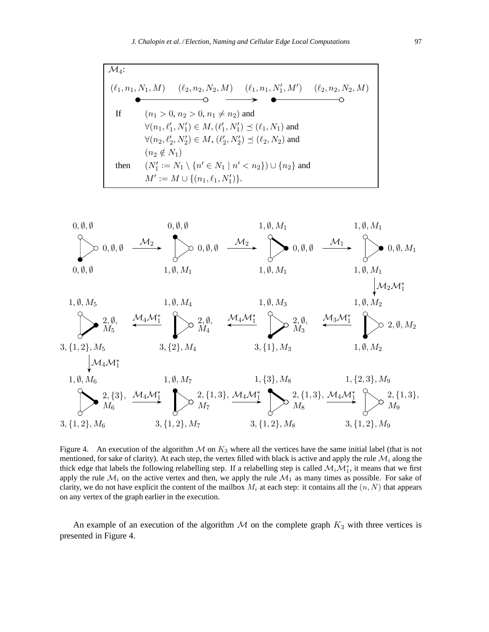



Figure 4. An execution of the algorithm  $M$  on  $K_3$  where all the vertices have the same initial label (that is not mentioned, for sake of clarity). At each step, the vertex filled with black is active and apply the rule  $\mathcal{M}_i$  along the thick edge that labels the following relabelling step. If a relabelling step is called  $\mathcal{M}_i\mathcal{M}_1^*$ , it means that we first apply the rule  $\mathcal{M}_i$  on the active vertex and then, we apply the rule  $\mathcal{M}_1$  as many times as possible. For sake of clarity, we do not have explicit the content of the mailbox  $M_i$  at each step: it contains all the  $(n, N)$  that appears on any vertex of the graph earlier in the execution.

An example of an execution of the algorithm  $M$  on the complete graph  $K_3$  with three vertices is presented in Figure 4.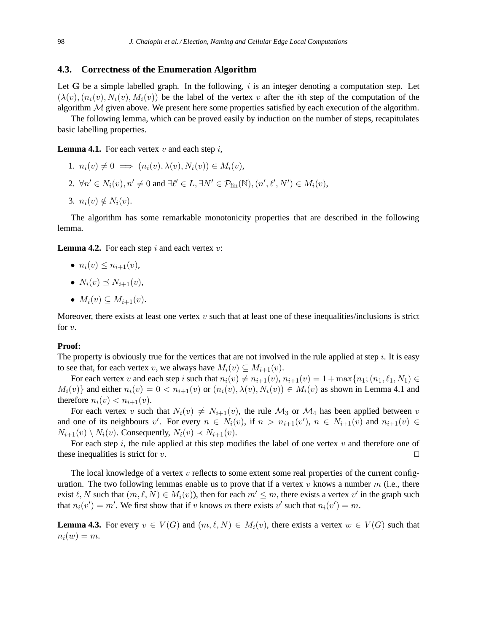### **4.3. Correctness of the Enumeration Algorithm**

Let G be a simple labelled graph. In the following,  $i$  is an integer denoting a computation step. Let  $(\lambda(v), (n_i(v), N_i(v), M_i(v))$  be the label of the vertex v after the *i*th step of the computation of the algorithm  $M$  given above. We present here some properties satisfied by each execution of the algorithm.

The following lemma, which can be proved easily by induction on the number of steps, recapitulates basic labelling properties.

**Lemma 4.1.** For each vertex  $v$  and each step  $i$ ,

1.  $n_i(v) \neq 0 \implies (n_i(v), \lambda(v), N_i(v)) \in M_i(v),$ 2.  $\forall n' \in N_i(v), n' \neq 0$  and  $\exists \ell' \in L, \exists N' \in \mathcal{P}_{fin}(\mathbb{N}), (n', \ell', N') \in M_i(v)$ , 3.  $n_i(v) \notin N_i(v)$ .

The algorithm has some remarkable monotonicity properties that are described in the following lemma.

**Lemma 4.2.** For each step i and each vertex  $v$ :

- $n_i(v) \leq n_{i+1}(v)$ ,
- $N_i(v) \prec N_{i+1}(v)$ ,
- $M_i(v) \subseteq M_{i+1}(v)$ .

Moreover, there exists at least one vertex  $v$  such that at least one of these inequalities/inclusions is strict for  $v$ .

#### **Proof:**

The property is obviously true for the vertices that are not involved in the rule applied at step  $i$ . It is easy to see that, for each vertex v, we always have  $M_i(v) \subseteq M_{i+1}(v)$ .

For each vertex v and each step i such that  $n_i(v) \neq n_{i+1}(v)$ ,  $n_{i+1}(v) = 1 + \max\{n_1; (n_1, \ell_1, N_1) \in$  $M_i(v)$ } and either  $n_i(v) = 0 < n_{i+1}(v)$  or  $(n_i(v), \lambda(v), N_i(v)) \in M_i(v)$  as shown in Lemma 4.1 and therefore  $n_i(v) < n_{i+1}(v)$ .

For each vertex v such that  $N_i(v) \neq N_{i+1}(v)$ , the rule  $\mathcal{M}_3$  or  $\mathcal{M}_4$  has been applied between v and one of its neighbours v'. For every  $n \in N_i(v)$ , if  $n > n_{i+1}(v')$ ,  $n \in N_{i+1}(v)$  and  $n_{i+1}(v) \in$  $N_{i+1}(v) \setminus N_i(v)$ . Consequently,  $N_i(v) \prec N_{i+1}(v)$ .

For each step i, the rule applied at this step modifies the label of one vertex  $v$  and therefore one of these inequalities is strict for v.  $□$ 

The local knowledge of a vertex  $v$  reflects to some extent some real properties of the current configuration. The two following lemmas enable us to prove that if a vertex v knows a number  $m$  (i.e., there exist  $\ell, N$  such that  $(m, \ell, N) \in M_i(v)$ , then for each  $m' \leq m$ , there exists a vertex  $v'$  in the graph such that  $n_i(v') = m'$ . We first show that if v knows m there exists v' such that  $n_i(v') = m$ .

**Lemma 4.3.** For every  $v \in V(G)$  and  $(m, \ell, N) \in M_i(v)$ , there exists a vertex  $w \in V(G)$  such that  $n_i(w) = m$ .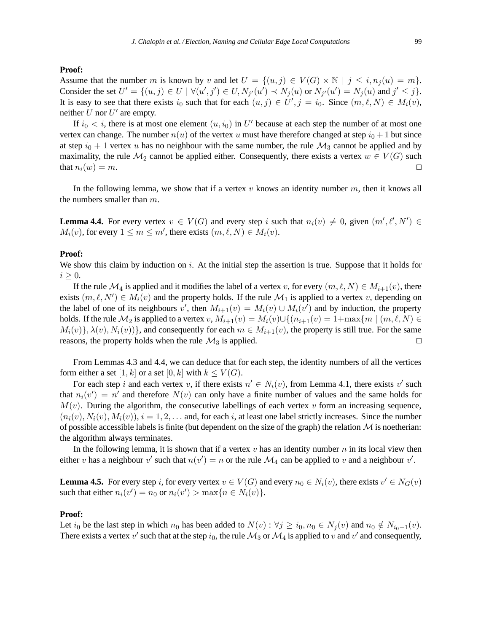#### **Proof:**

Assume that the number m is known by v and let  $U = \{(u, j) \in V(G) \times \mathbb{N} \mid j \le i, n_i(u) = m\}.$ Consider the set  $U' = \{(u, j) \in U \mid \forall (u', j') \in U, N_{j'}(u') \prec N_j(u) \text{ or } N_{j'}(u') = N_j(u) \text{ and } j' \leq j\}.$ It is easy to see that there exists  $i_0$  such that for each  $(u, j) \in U', j = i_0$ . Since  $(m, \ell, N) \in M_i(v)$ , neither  $U$  nor  $U'$  are empty.

If  $i_0 < i$ , there is at most one element  $(u, i_0)$  in U' because at each step the number of at most one vertex can change. The number  $n(u)$  of the vertex u must have therefore changed at step  $i_0 + 1$  but since at step  $i_0 + 1$  vertex u has no neighbour with the same number, the rule  $\mathcal{M}_3$  cannot be applied and by maximality, the rule  $\mathcal{M}_2$  cannot be applied either. Consequently, there exists a vertex  $w \in V(G)$  such that  $n_i(w) = m$ . □

In the following lemma, we show that if a vertex  $v$  knows an identity number  $m$ , then it knows all the numbers smaller than  $m$ .

**Lemma 4.4.** For every vertex  $v \in V(G)$  and every step i such that  $n_i(v) \neq 0$ , given  $(m', \ell', N') \in$  $M_i(v)$ , for every  $1 \le m \le m'$ , there exists  $(m, \ell, N) \in M_i(v)$ .

#### **Proof:**

We show this claim by induction on i. At the initial step the assertion is true. Suppose that it holds for  $i \geq 0$ .

If the rule  $\mathcal{M}_4$  is applied and it modifies the label of a vertex v, for every  $(m, \ell, N) \in M_{i+1}(v)$ , there exists  $(m, \ell, N') \in M_i(v)$  and the property holds. If the rule  $\mathcal{M}_1$  is applied to a vertex v, depending on the label of one of its neighbours v', then  $M_{i+1}(v) = M_i(v) \cup M_i(v')$  and by induction, the property holds. If the rule  $\mathcal{M}_2$  is applied to a vertex v,  $M_{i+1}(v) = M_i(v) \cup \{(n_{i+1}(v)) = 1+\max\{m \mid (m, \ell, N) \in$  $M_i(v)$ ,  $\lambda(v)$ ,  $N_i(v)$ }, and consequently for each  $m \in M_{i+1}(v)$ , the property is still true. For the same reasons, the property holds when the rule  $\mathcal{M}_3$  is applied. □

From Lemmas 4.3 and 4.4, we can deduce that for each step, the identity numbers of all the vertices form either a set [1, k] or a set [0, k] with  $k \leq V(G)$ .

For each step i and each vertex v, if there exists  $n' \in N_i(v)$ , from Lemma 4.1, there exists v' such that  $n_i(v') = n'$  and therefore  $N(v)$  can only have a finite number of values and the same holds for  $M(v)$ . During the algorithm, the consecutive labellings of each vertex v form an increasing sequence,  $(n_i(v), N_i(v), M_i(v))$ ,  $i = 1, 2, \ldots$  and, for each i, at least one label strictly increases. Since the number of possible accessible labels is finite (but dependent on the size of the graph) the relation  $\mathcal M$  is noetherian: the algorithm always terminates.

In the following lemma, it is shown that if a vertex  $v$  has an identity number  $n$  in its local view then either v has a neighbour v' such that  $n(v') = n$  or the rule  $\mathcal{M}_4$  can be applied to v and a neighbour v'.

**Lemma 4.5.** For every step i, for every vertex  $v \in V(G)$  and every  $n_0 \in N_i(v)$ , there exists  $v' \in N_G(v)$ such that either  $n_i(v') = n_0$  or  $n_i(v') > \max\{n \in N_i(v)\}.$ 

#### **Proof:**

Let  $i_0$  be the last step in which  $n_0$  has been added to  $N(v)$  :  $\forall j \ge i_0, n_0 \in N_i(v)$  and  $n_0 \notin N_{i_0-1}(v)$ . There exists a vertex  $v'$  such that at the step  $i_0$ , the rule  $\mathcal{M}_3$  or  $\mathcal{M}_4$  is applied to  $v$  and  $v'$  and consequently,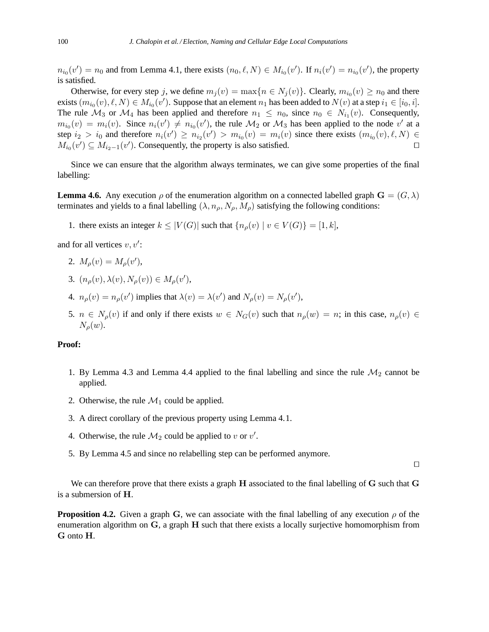$n_{i_0}(v') = n_0$  and from Lemma 4.1, there exists  $(n_0, \ell, N) \in M_{i_0}(v')$ . If  $n_i(v') = n_{i_0}(v')$ , the property is satisfied.

Otherwise, for every step j, we define  $m_j(v) = \max\{n \in N_j(v)\}\)$ . Clearly,  $m_{i_0}(v) \geq n_0$  and there exists  $(m_{i_0}(v), \ell, N) \in M_{i_0}(v')$ . Suppose that an element  $n_1$  has been added to  $N(v)$  at a step  $i_1 \in [i_0, i]$ . The rule  $\mathcal{M}_3$  or  $\mathcal{M}_4$  has been applied and therefore  $n_1 \leq n_0$ , since  $n_0 \in N_{i_1}(v)$ . Consequently,  $m_{i_0}(v) = m_i(v)$ . Since  $n_i(v') \neq n_{i_0}(v')$ , the rule  $\mathcal{M}_2$  or  $\mathcal{M}_3$  has been applied to the node  $v'$  at a step  $i_2 > i_0$  and therefore  $n_i(v') \ge n_{i_2}(v') > m_{i_0}(v) = m_i(v)$  since there exists  $(m_{i_0}(v), \ell, N) \in$  $M_{i_0}(v') \subseteq M_{i_2-1}(v')$ . Consequently, the property is also satisfied. □

Since we can ensure that the algorithm always terminates, we can give some properties of the final labelling:

**Lemma 4.6.** Any execution  $\rho$  of the enumeration algorithm on a connected labelled graph  $\mathbf{G} = (G, \lambda)$ terminates and yields to a final labelling  $(\lambda, n_{\rho}, N_{\rho}, M_{\rho})$  satisfying the following conditions:

1. there exists an integer  $k \leq |V(G)|$  such that  $\{n_o(v) \mid v \in V(G)\} = [1, k],$ 

and for all vertices  $v, v'$ :

$$
2. M_{\rho}(v) = M_{\rho}(v'),
$$

- 3.  $(n_{\rho}(v), \lambda(v), N_{\rho}(v)) \in M_{\rho}(v'),$
- 4.  $n_{\rho}(v) = n_{\rho}(v')$  implies that  $\lambda(v) = \lambda(v')$  and  $N_{\rho}(v) = N_{\rho}(v')$ ,
- 5.  $n \in N_\rho(v)$  if and only if there exists  $w \in N_G(v)$  such that  $n_\rho(w) = n$ ; in this case,  $n_\rho(v) \in$  $N_o(w)$ .

# **Proof:**

- 1. By Lemma 4.3 and Lemma 4.4 applied to the final labelling and since the rule  $\mathcal{M}_2$  cannot be applied.
- 2. Otherwise, the rule  $\mathcal{M}_1$  could be applied.
- 3. A direct corollary of the previous property using Lemma 4.1.
- 4. Otherwise, the rule  $\mathcal{M}_2$  could be applied to v or v'.
- 5. By Lemma 4.5 and since no relabelling step can be performed anymore.

⊓⊔

We can therefore prove that there exists a graph  $H$  associated to the final labelling of  $G$  such that  $G$ is a submersion of H.

**Proposition 4.2.** Given a graph G, we can associate with the final labelling of any execution  $\rho$  of the enumeration algorithm on  $G$ , a graph  $H$  such that there exists a locally surjective homomorphism from G onto H.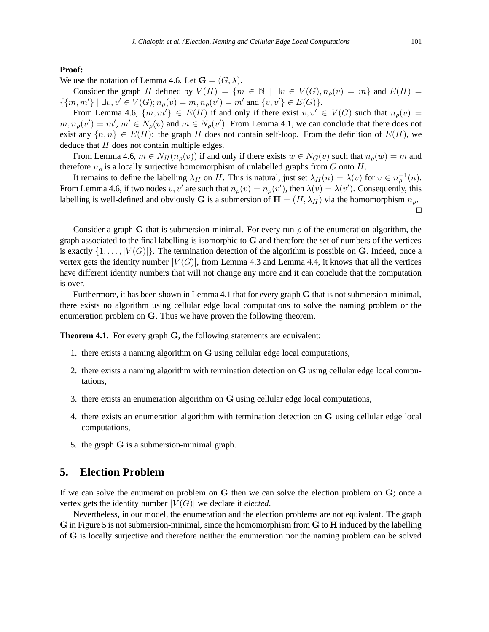#### **Proof:**

We use the notation of Lemma 4.6. Let  $\mathbf{G} = (G, \lambda)$ .

Consider the graph H defined by  $V(H) = \{m \in \mathbb{N} \mid \exists v \in V(G), n_{\rho}(v) = m\}$  and  $E(H) =$  $\{\{m, m'\} \mid \exists v, v' \in V(G); n_{\rho}(v) = m, n_{\rho}(v') = m' \text{ and } \{v, v'\} \in E(G)\}.$ 

From Lemma 4.6,  $\{m, m'\} \in E(H)$  if and only if there exist  $v, v' \in V(G)$  such that  $n_{\rho}(v) =$  $m, n_{\rho}(v') = m'$ ,  $m' \in N_{\rho}(v)$  and  $m \in N_{\rho}(v')$ . From Lemma 4.1, we can conclude that there does not exist any  $\{n, n\} \in E(H)$ : the graph H does not contain self-loop. From the definition of  $E(H)$ , we deduce that  $H$  does not contain multiple edges.

From Lemma 4.6,  $m \in N_H(n_\rho(v))$  if and only if there exists  $w \in N_G(v)$  such that  $n_\rho(w) = m$  and therefore  $n_{\rho}$  is a locally surjective homomorphism of unlabelled graphs from G onto H.

It remains to define the labelling  $\lambda_H$  on H. This is natural, just set  $\lambda_H(n) = \lambda(v)$  for  $v \in n_{\rho}^{-1}(n)$ . From Lemma 4.6, if two nodes  $v, v'$  are such that  $n_{\rho}(v) = n_{\rho}(v')$ , then  $\lambda(v) = \lambda(v')$ . Consequently, this labelling is well-defined and obviously G is a submersion of  $H = (H, \lambda_H)$  via the homomorphism  $n_{\rho}$ . ⊓⊔

Consider a graph G that is submersion-minimal. For every run  $\rho$  of the enumeration algorithm, the graph associated to the final labelling is isomorphic to  **and therefore the set of numbers of the vertices** is exactly  $\{1, \ldots, |V(G)|\}$ . The termination detection of the algorithm is possible on G. Indeed, once a vertex gets the identity number  $|V(G)|$ , from Lemma 4.3 and Lemma 4.4, it knows that all the vertices have different identity numbers that will not change any more and it can conclude that the computation is over.

Furthermore, it has been shown in Lemma 4.1 that for every graph G that is not submersion-minimal, there exists no algorithm using cellular edge local computations to solve the naming problem or the enumeration problem on G. Thus we have proven the following theorem.

**Theorem 4.1.** For every graph G, the following statements are equivalent:

- 1. there exists a naming algorithm on G using cellular edge local computations,
- 2. there exists a naming algorithm with termination detection on G using cellular edge local computations,
- 3. there exists an enumeration algorithm on G using cellular edge local computations,
- 4. there exists an enumeration algorithm with termination detection on G using cellular edge local computations,
- 5. the graph G is a submersion-minimal graph.

# **5. Election Problem**

If we can solve the enumeration problem on G then we can solve the election problem on G; once a vertex gets the identity number  $|V(G)|$  we declare it *elected*.

Nevertheless, in our model, the enumeration and the election problems are not equivalent. The graph G in Figure 5 is not submersion-minimal, since the homomorphism from G to H induced by the labelling of G is locally surjective and therefore neither the enumeration nor the naming problem can be solved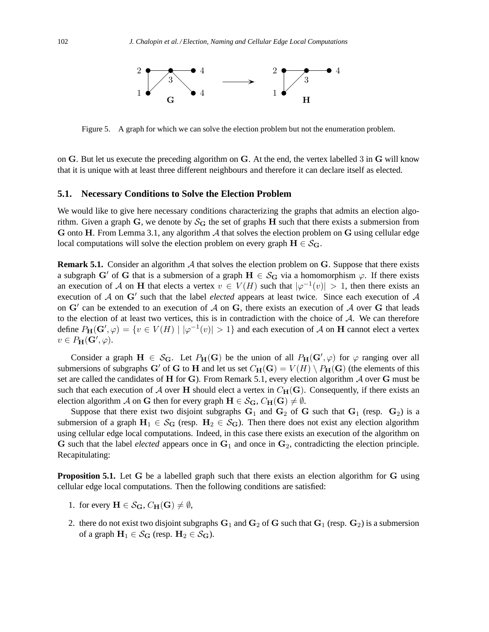

Figure 5. A graph for which we can solve the election problem but not the enumeration problem.

on G. But let us execute the preceding algorithm on G. At the end, the vertex labelled 3 in G will know that it is unique with at least three different neighbours and therefore it can declare itself as elected.

#### **5.1. Necessary Conditions to Solve the Election Problem**

We would like to give here necessary conditions characterizing the graphs that admits an election algorithm. Given a graph G, we denote by  $S_G$  the set of graphs H such that there exists a submersion from G onto H. From Lemma 3.1, any algorithm  $\mathcal A$  that solves the election problem on G using cellular edge local computations will solve the election problem on every graph  $H \in \mathcal{S}_G$ .

**Remark 5.1.** Consider an algorithm A that solves the election problem on G. Suppose that there exists a subgraph G' of G that is a submersion of a graph  $H \in \mathcal{S}_G$  via a homomorphism  $\varphi$ . If there exists an execution of A on H that elects a vertex  $v \in V(H)$  such that  $|\varphi^{-1}(v)| > 1$ , then there exists an execution of A on G' such that the label *elected* appears at least twice. Since each execution of A on  $G'$  can be extended to an execution of A on G, there exists an execution of A over G that leads to the election of at least two vertices, this is in contradiction with the choice of  $A$ . We can therefore define  $P_H(G',\varphi) = \{v \in V(H) \mid |\varphi^{-1}(v)| > 1\}$  and each execution of A on H cannot elect a vertex  $v \in P_{\textbf{H}}(\mathbf{G}', \varphi)$ .

Consider a graph  $H \in \mathcal{S}_G$ . Let  $P_H(G)$  be the union of all  $P_H(G', \varphi)$  for  $\varphi$  ranging over all submersions of subgraphs G' of G to H and let us set  $C_H(G) = V(H) \setminus P_H(G)$  (the elements of this set are called the candidates of H for G). From Remark 5.1, every election algorithm  $\mathcal A$  over G must be such that each execution of A over H should elect a vertex in  $C_H(G)$ . Consequently, if there exists an election algorithm A on G then for every graph  $H \in \mathcal{S}_G$ ,  $C_H(G) \neq \emptyset$ .

Suppose that there exist two disjoint subgraphs  $G_1$  and  $G_2$  of G such that  $G_1$  (resp.  $G_2$ ) is a submersion of a graph  $H_1 \in S_G$  (resp.  $H_2 \in S_G$ ). Then there does not exist any election algorithm using cellular edge local computations. Indeed, in this case there exists an execution of the algorithm on G such that the label *elected* appears once in  $G_1$  and once in  $G_2$ , contradicting the election principle. Recapitulating:

**Proposition 5.1.** Let G be a labelled graph such that there exists an election algorithm for G using cellular edge local computations. Then the following conditions are satisfied:

- 1. for every  $\mathbf{H} \in \mathcal{S}_{\mathbf{G}}, C_{\mathbf{H}}(\mathbf{G}) \neq \emptyset$ ,
- 2. there do not exist two disjoint subgraphs  $G_1$  and  $G_2$  of G such that  $G_1$  (resp.  $G_2$ ) is a submersion of a graph  $H_1 \in S_G$  (resp.  $H_2 \in S_G$ ).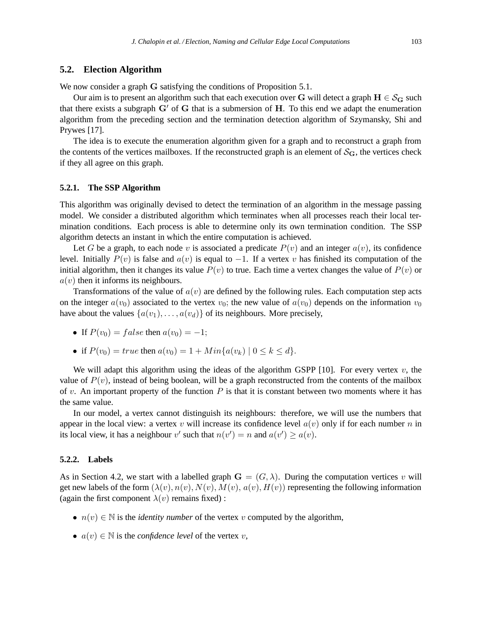### **5.2. Election Algorithm**

We now consider a graph G satisfying the conditions of Proposition 5.1.

Our aim is to present an algorithm such that each execution over G will detect a graph  $H \in \mathcal{S}_G$  such that there exists a subgraph  $G'$  of  $G$  that is a submersion of  $H$ . To this end we adapt the enumeration algorithm from the preceding section and the termination detection algorithm of Szymansky, Shi and Prywes [17].

The idea is to execute the enumeration algorithm given for a graph and to reconstruct a graph from the contents of the vertices mailboxes. If the reconstructed graph is an element of  $S_G$ , the vertices check if they all agree on this graph.

#### **5.2.1. The SSP Algorithm**

This algorithm was originally devised to detect the termination of an algorithm in the message passing model. We consider a distributed algorithm which terminates when all processes reach their local termination conditions. Each process is able to determine only its own termination condition. The SSP algorithm detects an instant in which the entire computation is achieved.

Let G be a graph, to each node v is associated a predicate  $P(v)$  and an integer  $a(v)$ , its confidence level. Initially  $P(v)$  is false and  $a(v)$  is equal to  $-1$ . If a vertex v has finished its computation of the initial algorithm, then it changes its value  $P(v)$  to true. Each time a vertex changes the value of  $P(v)$  or  $a(v)$  then it informs its neighbours.

Transformations of the value of  $a(v)$  are defined by the following rules. Each computation step acts on the integer  $a(v_0)$  associated to the vertex  $v_0$ ; the new value of  $a(v_0)$  depends on the information  $v_0$ have about the values  $\{a(v_1), \ldots, a(v_d)\}\$  of its neighbours. More precisely,

- If  $P(v_0) = false$  then  $a(v_0) = -1$ ;
- if  $P(v_0) = true$  then  $a(v_0) = 1 + Min{a(v_k) | 0 \le k \le d}$ .

We will adapt this algorithm using the ideas of the algorithm GSPP [10]. For every vertex  $v$ , the value of  $P(v)$ , instead of being boolean, will be a graph reconstructed from the contents of the mailbox of v. An important property of the function  $P$  is that it is constant between two moments where it has the same value.

In our model, a vertex cannot distinguish its neighbours: therefore, we will use the numbers that appear in the local view: a vertex v will increase its confidence level  $a(v)$  only if for each number n in its local view, it has a neighbour v' such that  $n(v') = n$  and  $a(v') \ge a(v)$ .

### **5.2.2. Labels**

As in Section 4.2, we start with a labelled graph  $\mathbf{G} = (G, \lambda)$ . During the computation vertices v will get new labels of the form  $(\lambda(v), n(v), N(v), M(v), a(v), H(v))$  representing the following information (again the first component  $\lambda(v)$  remains fixed) :

- $n(v) \in \mathbb{N}$  is the *identity number* of the vertex v computed by the algorithm,
- $a(v) \in \mathbb{N}$  is the *confidence level* of the vertex v,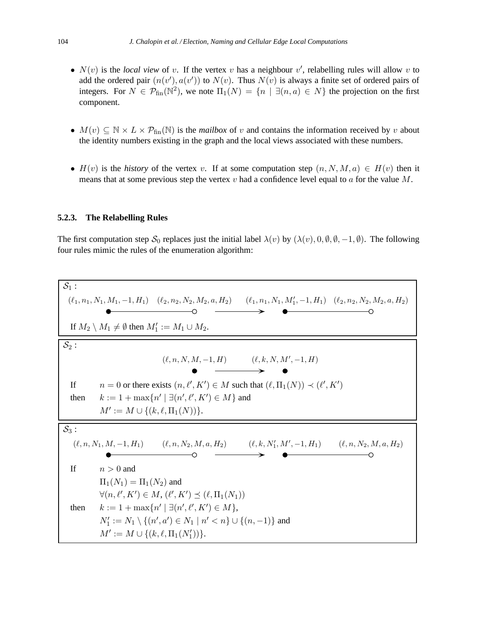- $N(v)$  is the *local view* of v. If the vertex v has a neighbour v', relabelling rules will allow v to add the ordered pair  $(n(v'), a(v'))$  to  $N(v)$ . Thus  $N(v)$  is always a finite set of ordered pairs of integers. For  $N \in \mathcal{P}_{fin}(\mathbb{N}^2)$ , we note  $\Pi_1(N) = \{n \mid \exists (n,a) \in N\}$  the projection on the first component.
- $M(v) \subseteq \mathbb{N} \times L \times \mathcal{P}_{fin}(\mathbb{N})$  is the *mailbox* of v and contains the information received by v about the identity numbers existing in the graph and the local views associated with these numbers.
- $H(v)$  is the *history* of the vertex v. If at some computation step  $(n, N, M, a) \in H(v)$  then it means that at some previous step the vertex  $v$  had a confidence level equal to  $a$  for the value  $M$ .

### **5.2.3. The Relabelling Rules**

The first computation step  $S_0$  replaces just the initial label  $\lambda(v)$  by  $(\lambda(v), 0, \emptyset, \emptyset, -1, \emptyset)$ . The following four rules mimic the rules of the enumeration algorithm:

S<sub>1</sub>:  
\n(
$$
\ell_1, n_1, N_1, M_1, -1, H_1
$$
) ( $\ell_2, n_2, N_2, M_2, a, H_2$ )  $(\ell_1, n_1, N_1, M'_1, -1, H_1)$  ( $\ell_2, n_2, N_2, M_2, a, H_2$ )  
\nIf  $M_2 \setminus M_1 \neq \emptyset$  then  $M'_1 := M_1 \cup M_2$ .  
\nS<sub>2</sub>:  
\n( $\ell, n, N, M, -1, H$ )  $(\ell, k, N, M', -1, H)$   
\nIf  $n = 0$  or there exists  $(n, \ell', K') \in M$  such that  $(\ell, \Pi_1(N)) \prec (\ell', K')$   
\nthen  $k := 1 + \max\{n' | \exists (n', \ell', K') \in M\}$  and  
\n $M' := M \cup \{(k, \ell, \Pi_1(N))\}$ .  
\nS<sub>3</sub>:  
\n( $\ell, n, N_1, M, -1, H_1$ )  $(\ell, n, N_2, M, a, H_2)$   $(\ell, k, N'_1, M', -1, H_1)$   $(\ell, n, N_2, M, a, H_2)$   
\n $\bullet$   
\nIf  $n > 0$  and  
\n $\Pi_1(N_1) = \Pi_1(N_2)$  and  
\n $\forall (n, \ell', K') \in M, (\ell', K') \leq (\ell, \Pi_1(N_1))$   
\nthen  $k := 1 + \max\{n' | \exists (n', \ell', K') \in M\}$ ,  
\n $N'_1 := N_1 \setminus \{(n', a') \in N_1 | n' < n\} \cup \{(n, -1)\}$  and  
\n $M' := M \cup \{(k, \ell, \Pi_1(N'_1))\}$ .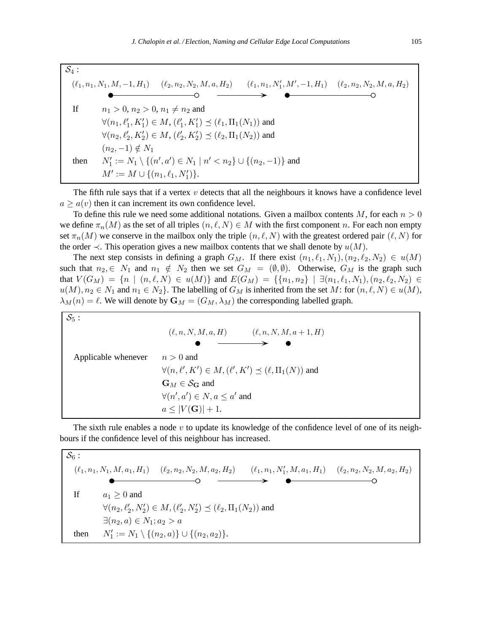| $S_4$ : |                                                                                                                                     |
|---------|-------------------------------------------------------------------------------------------------------------------------------------|
|         | $(\ell_1, n_1, N_1, M, -1, H_1)$ $(\ell_2, n_2, N_2, M, a, H_2)$ $(\ell_1, n_1, N'_1, M', -1, H_1)$ $(\ell_2, n_2, N_2, M, a, H_2)$ |
|         |                                                                                                                                     |
| If      | $n_1 > 0, n_2 > 0, n_1 \neq n_2$ and                                                                                                |
|         | $\forall (n_1, \ell'_1, K'_1) \in M$ , $(\ell'_1, K'_1) \preceq (\ell_1, \Pi_1(N_1))$ and                                           |
|         | $\forall (n_2, \ell'_2, K'_2) \in M$ , $(\ell'_2, K'_2) \preceq (\ell_2, \Pi_1(N_2))$ and                                           |
|         | $(n_2,-1) \notin N_1$                                                                                                               |
| then    | $N'_1 := N_1 \setminus \{(n', a') \in N_1 \mid n' < n_2\} \cup \{(n_2, -1)\}\$ and                                                  |
|         | $M' := M \cup \{(n_1, \ell_1, N'_1)\}.$                                                                                             |

The fifth rule says that if a vertex  $v$  detects that all the neighbours it knows have a confidence level  $a \geq a(v)$  then it can increment its own confidence level.

To define this rule we need some additional notations. Given a mailbox contents  $M$ , for each  $n > 0$ we define  $\pi_n(M)$  as the set of all triples  $(n, \ell, N) \in M$  with the first component n. For each non empty set  $\pi_n(M)$  we conserve in the mailbox only the triple  $(n, \ell, N)$  with the greatest ordered pair  $(\ell, N)$  for the order  $\prec$ . This operation gives a new mailbox contents that we shall denote by  $u(M)$ .

The next step consists in defining a graph  $G_M$ . If there exist  $(n_1, \ell_1, N_1), (n_2, \ell_2, N_2) \in u(M)$ such that  $n_2 \in N_1$  and  $n_1 \notin N_2$  then we set  $G_M = (\emptyset, \emptyset)$ . Otherwise,  $G_M$  is the graph such that  $V(G_M) = \{n \mid (n, \ell, N) \in u(M)\}\$  and  $E(G_M) = \{\{n_1, n_2\} \mid \exists (n_1, \ell_1, N_1), (n_2, \ell_2, N_2) \in$  $u(M), n_2 \in N_1$  and  $n_1 \in N_2$ . The labelling of  $G_M$  is inherited from the set M: for  $(n, \ell, N) \in u(M)$ ,  $\lambda_M(n) = \ell$ . We will denote by  $\mathbf{G}_M = (G_M, \lambda_M)$  the corresponding labelled graph.

 $\mathcal{S}_5$ :

 $(\ell, n, N, M, a, H)$   $(\ell, n, N, M, a + 1, H)$ 

Applicable whenever  $n > 0$  and  $\forall (n, \ell', K') \in M, (\ell', K') \preceq (\ell, \Pi_1(N))$  and  $\mathbf{G}_M \in \mathcal{S}_\mathbf{G}$  and  $\forall (n', a') \in N, a \leq a'$  and  $a \leq |V(G)| + 1.$ 

The sixth rule enables a node  $v$  to update its knowledge of the confidence level of one of its neighbours if the confidence level of this neighbour has increased.

 $\mathcal{S}_6$ :  $(\ell_1, n_1, N_1, M, a_1, H_1)$   $(\ell_2, n_2, N_2, M, a_2, H_2)$   $(\ell_1, n_1, N'_1, M, a_1, H_1)$   $(\ell_2, n_2, N_2, M, a_2, H_2)$ If  $a_1 > 0$  and  $\forall (n_2, \ell'_2, N'_2) \in M, (\ell'_2, N'_2) \preceq (\ell_2, \Pi_1(N_2))$  and  $\exists (n_2, a) \in N_1; a_2 > a$ then  $N'_1 := N_1 \setminus \{(n_2, a)\} \cup \{(n_2, a_2)\}.$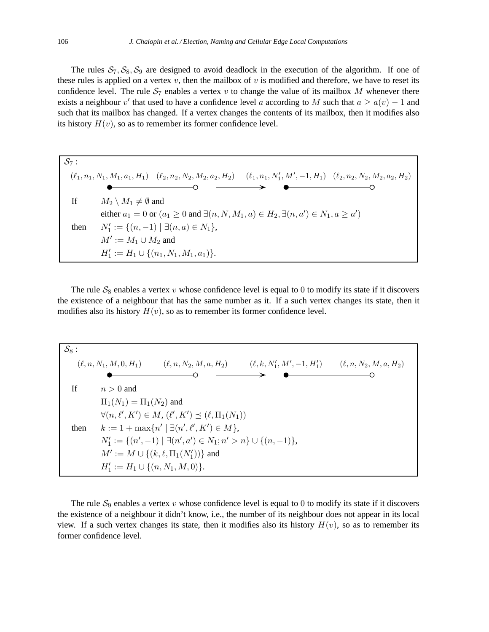The rules  $S_7, S_8, S_9$  are designed to avoid deadlock in the execution of the algorithm. If one of these rules is applied on a vertex  $v$ , then the mailbox of  $v$  is modified and therefore, we have to reset its confidence level. The rule  $S_7$  enables a vertex v to change the value of its mailbox M whenever there exists a neighbour v' that used to have a confidence level a according to M such that  $a \ge a(v) - 1$  and such that its mailbox has changed. If a vertex changes the contents of its mailbox, then it modifies also its history  $H(v)$ , so as to remember its former confidence level.

$$
\mathcal{S}_7: \qquad (\ell_1, n_1, N_1, M_1, a_1, H_1) \quad (\ell_2, n_2, N_2, M_2, a_2, H_2) \quad (\ell_1, n_1, N'_1, M', -1, H_1) \quad (\ell_2, n_2, N_2, M_2, a_2, H_2)
$$
\n
$$
\longrightarrow \qquad \longrightarrow \qquad \longrightarrow \qquad \longrightarrow
$$
\nIf  $M_2 \setminus M_1 \neq \emptyset$  and  
\neither  $a_1 = 0$  or  $(a_1 \ge 0$  and  $\exists (n, N, M_1, a) \in H_2, \exists (n, a') \in N_1, a \ge a')$   
\nthen  $N'_1 := \{(n, -1) \mid \exists (n, a) \in N_1\},$   
\n $M' := M_1 \cup M_2$  and  
\n $H'_1 := H_1 \cup \{(n_1, N_1, M_1, a_1)\}.$ 

The rule  $S_8$  enables a vertex v whose confidence level is equal to 0 to modify its state if it discovers the existence of a neighbour that has the same number as it. If a such vertex changes its state, then it modifies also its history  $H(v)$ , so as to remember its former confidence level.



The rule  $S_9$  enables a vertex v whose confidence level is equal to 0 to modify its state if it discovers the existence of a neighbour it didn't know, i.e., the number of its neighbour does not appear in its local view. If a such vertex changes its state, then it modifies also its history  $H(v)$ , so as to remember its former confidence level.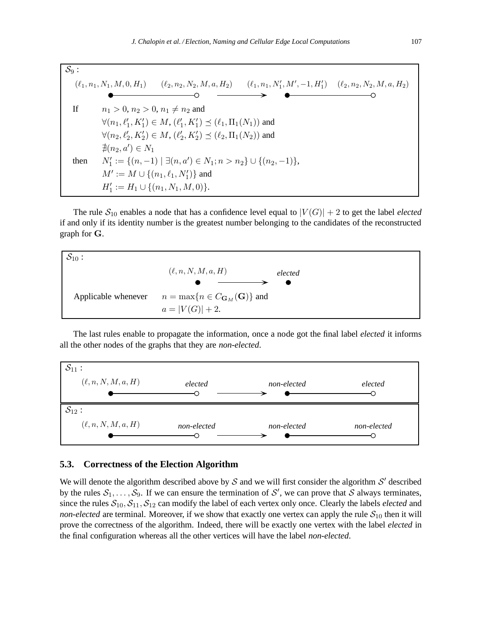| $S_9$ : |                                                                                                                                     |  |  |  |
|---------|-------------------------------------------------------------------------------------------------------------------------------------|--|--|--|
|         | $(\ell_1, n_1, N_1, M, 0, H_1)$ $(\ell_2, n_2, N_2, M, a, H_2)$ $(\ell_1, n_1, N'_1, M', -1, H'_1)$ $(\ell_2, n_2, N_2, M, a, H_2)$ |  |  |  |
|         |                                                                                                                                     |  |  |  |
| If      | $n_1 > 0, n_2 > 0, n_1 \neq n_2$ and                                                                                                |  |  |  |
|         | $\forall (n_1, \ell'_1, K'_1) \in M$ , $(\ell'_1, K'_1) \preceq (\ell_1, \Pi_1(N_1))$ and                                           |  |  |  |
|         | $\forall (n_2, \ell'_2, K'_2) \in M, (\ell'_2, K'_2) \preceq (\ell_2, \Pi_1(N_2))$ and                                              |  |  |  |
|         | $\exists (n_2, a') \in N_1$                                                                                                         |  |  |  |
| then    | $N'_1 := \{(n, -1) \mid \exists (n, a') \in N_1; n > n_2\} \cup \{(n_2, -1)\},$                                                     |  |  |  |
|         | $M' := M \cup \{(n_1, \ell_1, N'_1)\}\$ and                                                                                         |  |  |  |
|         | $H'_1 := H_1 \cup \{(n_1, N_1, M, 0)\}.$                                                                                            |  |  |  |

The rule  $S_{10}$  enables a node that has a confidence level equal to  $|V(G)| + 2$  to get the label *elected* if and only if its identity number is the greatest number belonging to the candidates of the reconstructed graph for G.



The last rules enable to propagate the information, once a node got the final label *elected* it informs all the other nodes of the graphs that they are *non-elected*.



# **5.3. Correctness of the Election Algorithm**

We will denote the algorithm described above by  $S$  and we will first consider the algorithm  $S'$  described by the rules  $S_1, \ldots, S_9$ . If we can ensure the termination of S', we can prove that S always terminates, since the rules  $S_{10}$ ,  $S_{11}$ ,  $S_{12}$  can modify the label of each vertex only once. Clearly the labels *elected* and *non-elected* are terminal. Moreover, if we show that exactly one vertex can apply the rule  $S_{10}$  then it will prove the correctness of the algorithm. Indeed, there will be exactly one vertex with the label *elected* in the final configuration whereas all the other vertices will have the label *non-elected*.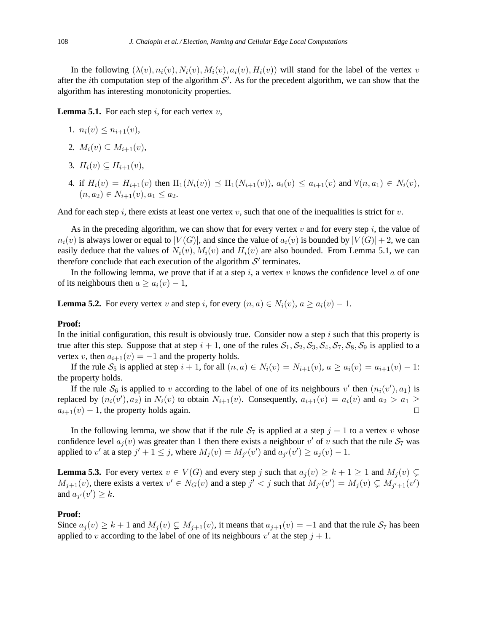In the following  $(\lambda(v), n_i(v), N_i(v), M_i(v), a_i(v), H_i(v))$  will stand for the label of the vertex v after the *i*th computation step of the algorithm  $S'$ . As for the precedent algorithm, we can show that the algorithm has interesting monotonicity properties.

**Lemma 5.1.** For each step i, for each vertex  $v$ ,

- 1.  $n_i(v) \leq n_{i+1}(v)$ ,
- 2.  $M_i(v) \subseteq M_{i+1}(v)$ ,
- 3.  $H_i(v) \subseteq H_{i+1}(v)$ ,
- 4. if  $H_i(v) = H_{i+1}(v)$  then  $\Pi_1(N_i(v)) \preceq \Pi_1(N_{i+1}(v))$ ,  $a_i(v) \leq a_{i+1}(v)$  and  $\forall (n, a_1) \in N_i(v)$ ,  $(n, a_2) \in N_{i+1}(v), a_1 \leq a_2.$

And for each step i, there exists at least one vertex v, such that one of the inequalities is strict for v.

As in the preceding algorithm, we can show that for every vertex v and for every step i, the value of  $n_i(v)$  is always lower or equal to  $|V(G)|$ , and since the value of  $a_i(v)$  is bounded by  $|V(G)| + 2$ , we can easily deduce that the values of  $N_i(v)$ ,  $M_i(v)$  and  $H_i(v)$  are also bounded. From Lemma 5.1, we can therefore conclude that each execution of the algorithm  $S'$  terminates.

In the following lemma, we prove that if at a step i, a vertex v knows the confidence level  $\alpha$  of one of its neighbours then  $a \ge a_i(v) - 1$ ,

**Lemma 5.2.** For every vertex v and step i, for every  $(n, a) \in N_i(v)$ ,  $a \ge a_i(v) - 1$ .

### **Proof:**

In the initial configuration, this result is obviously true. Consider now a step  $i$  such that this property is true after this step. Suppose that at step  $i + 1$ , one of the rules  $S_1, S_2, S_3, S_4, S_7, S_8, S_9$  is applied to a vertex v, then  $a_{i+1}(v) = -1$  and the property holds.

If the rule  $S_5$  is applied at step  $i + 1$ , for all  $(n, a) \in N_i(v) = N_{i+1}(v)$ ,  $a \ge a_i(v) = a_{i+1}(v) - 1$ : the property holds.

If the rule  $S_6$  is applied to v according to the label of one of its neighbours v' then  $(n_i(v'), a_1)$  is replaced by  $(n_i(v'), a_2)$  in  $N_i(v)$  to obtain  $N_{i+1}(v)$ . Consequently,  $a_{i+1}(v) = a_i(v)$  and  $a_2 > a_1 \geq$  $a_{i+1}(v) - 1$ , the property holds again. □

In the following lemma, we show that if the rule  $S_7$  is applied at a step  $j + 1$  to a vertex v whose confidence level  $a_j(v)$  was greater than 1 then there exists a neighbour  $v'$  of v such that the rule  $S_7$  was applied to v' at a step  $j' + 1 \leq j$ , where  $M_j(v) = M_{j'}(v')$  and  $a_{j'}(v') \geq a_j(v) - 1$ .

**Lemma 5.3.** For every vertex  $v \in V(G)$  and every step j such that  $a_i(v) \geq k+1 \geq 1$  and  $M_i(v) \subsetneq$  $M_{j+1}(v)$ , there exists a vertex  $v' \in N_G(v)$  and a step  $j' < j$  such that  $M_{j'}(v') = M_j(v) \subsetneq M_{j'+1}(v')$ and  $a_{j'}(v') \geq k$ .

### **Proof:**

Since  $a_i(v) \geq k+1$  and  $M_i(v) \subsetneq M_{i+1}(v)$ , it means that  $a_{i+1}(v) = -1$  and that the rule  $S_7$  has been applied to v according to the label of one of its neighbours  $v'$  at the step  $j + 1$ .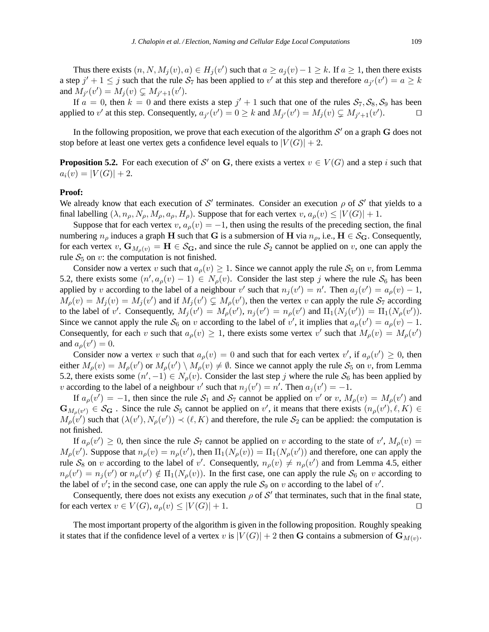Thus there exists  $(n, N, M_j(v), a) \in H_j(v')$  such that  $a \ge a_j(v) - 1 \ge k$ . If  $a \ge 1$ , then there exists a step  $j' + 1 \leq j$  such that the rule  $S_7$  has been applied to v' at this step and therefore  $a_{j'}(v') = a \geq k$ and  $M_{j'}(v') = M_j(v) \subsetneq M_{j'+1}(v')$ .

If  $a = 0$ , then  $k = 0$  and there exists a step  $j' + 1$  such that one of the rules  $S_7, S_8, S_9$  has been applied to v' at this step. Consequently,  $a_{j'}(v') = 0 \ge k$  and  $M_{j'}(v') = M_j(v) \subsetneq M_{j'+1}(v')$  $\Box$ 

In the following proposition, we prove that each execution of the algorithm  $\mathcal{S}'$  on a graph G does not stop before at least one vertex gets a confidence level equals to  $|V(G)| + 2$ .

**Proposition 5.2.** For each execution of S' on G, there exists a vertex  $v \in V(G)$  and a step i such that  $a_i(v) = |V(G)| + 2.$ 

## **Proof:**

We already know that each execution of S' terminates. Consider an execution  $\rho$  of S' that yields to a final labelling  $(\lambda, n_\rho, N_\rho, M_\rho, a_\rho, H_\rho)$ . Suppose that for each vertex  $v, a_\rho(v) \leq |V(G)| + 1$ .

Suppose that for each vertex v,  $a_{\rho}(v) = -1$ , then using the results of the preceding section, the final numbering  $n_{\rho}$  induces a graph H such that G is a submersion of H via  $n_{\rho}$ , i.e., H  $\in \mathcal{S}_G$ . Consequently, for each vertex v,  $G_{M_0(v)} = H \in \mathcal{S}_G$ , and since the rule  $\mathcal{S}_2$  cannot be applied on v, one can apply the rule  $S_5$  on v: the computation is not finished.

Consider now a vertex v such that  $a<sub>o</sub>(v) \ge 1$ . Since we cannot apply the rule  $S<sub>5</sub>$  on v, from Lemma 5.2, there exists some  $(n', a_{\rho}(v) - 1) \in N_{\rho}(v)$ . Consider the last step j where the rule  $S_6$  has been applied by v according to the label of a neighbour v' such that  $n_j(v') = n'$ . Then  $a_j(v') = a_\rho(v) - 1$ ,  $M_{\rho}(v) = M_j(v) = M_j(v')$  and if  $M_j(v') \subsetneq M_{\rho}(v')$ , then the vertex v can apply the rule  $S_7$  according to the label of v'. Consequently,  $M_j(v') = M_\rho(v')$ ,  $n_j(v') = n_\rho(v')$  and  $\Pi_1(N_j(v')) = \Pi_1(N_\rho(v'))$ . Since we cannot apply the rule  $S_6$  on v according to the label of v', it implies that  $a_\rho(v') = a_\rho(v) - 1$ . Consequently, for each v such that  $a_{\rho}(v) \geq 1$ , there exists some vertex v' such that  $M_{\rho}(v) = M_{\rho}(v')$ and  $a_{\rho}(v') = 0$ .

Consider now a vertex v such that  $a_{\rho}(v) = 0$  and such that for each vertex v', if  $a_{\rho}(v') \ge 0$ , then either  $M_{\rho}(v) = M_{\rho}(v')$  or  $M_{\rho}(v') \setminus M_{\rho}(v) \neq \emptyset$ . Since we cannot apply the rule  $S_5$  on v, from Lemma 5.2, there exists some  $(n', -1) \in N_\rho(v)$ . Consider the last step j where the rule  $S_6$  has been applied by v according to the label of a neighbour v' such that  $n_j(v') = n'$ . Then  $a_j(v') = -1$ .

If  $a_{\rho}(v') = -1$ , then since the rule  $S_1$  and  $S_7$  cannot be applied on v' or v,  $M_{\rho}(v) = M_{\rho}(v')$  and  $\mathbf{G}_{M_p(v')} \in \mathcal{S}_{\mathbf{G}}$ . Since the rule  $\mathcal{S}_5$  cannot be applied on v', it means that there exists  $(n_p(v'), \ell, K) \in$  $M_{\rho}(v')$  such that  $(\lambda(v'), N_{\rho}(v')) \prec (\ell, K)$  and therefore, the rule  $S_2$  can be applied: the computation is not finished.

If  $a_{\rho}(v') \ge 0$ , then since the rule  $S_7$  cannot be applied on v according to the state of  $v'$ ,  $M_{\rho}(v) =$  $M_{\rho}(v')$ . Suppose that  $n_{\rho}(v) = n_{\rho}(v')$ , then  $\Pi_1(N_{\rho}(v)) = \Pi_1(N_{\rho}(v'))$  and therefore, one can apply the rule  $S_8$  on v according to the label of v'. Consequently,  $n_\rho(v) \neq n_\rho(v')$  and from Lemma 4.5, either  $n_{\rho}(v') = n_j(v')$  or  $n_{\rho}(v') \notin \Pi_1(N_{\rho}(v))$ . In the first case, one can apply the rule  $S_6$  on v according to the label of v'; in the second case, one can apply the rule  $S_9$  on v according to the label of v'.

Consequently, there does not exists any execution  $\rho$  of S' that terminates, such that in the final state, for each vertex  $v \in V(G)$ ,  $a_{\rho}(v) \leq |V(G)| + 1$ . □

The most important property of the algorithm is given in the following proposition. Roughly speaking it states that if the confidence level of a vertex v is  $|V(G)| + 2$  then G contains a submersion of  $G_{M(v)}$ .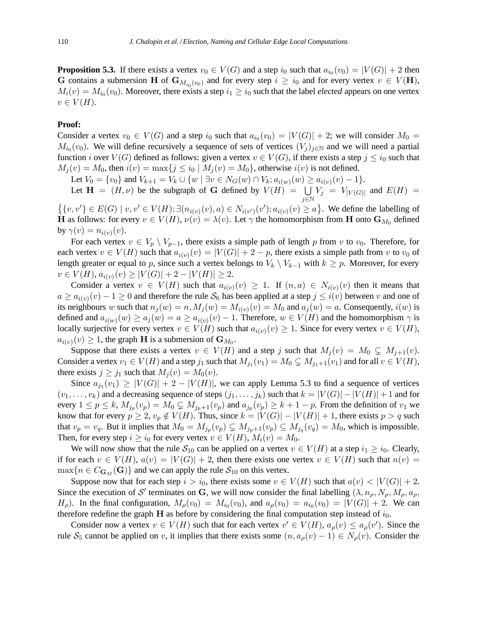**Proposition 5.3.** If there exists a vertex  $v_0 \in V(G)$  and a step  $i_0$  such that  $a_{i_0}(v_0) = |V(G)| + 2$  then G contains a submersion H of  $G_{M_{i_0}(v_0)}$  and for every step  $i \geq i_0$  and for every vertex  $v \in V(H)$ ,  $M_i(v) = M_{i_0}(v_0)$ . Moreover, there exists a step  $i_1 \geq i_0$  such that the label *elected* appears on one vertex  $v \in V(H)$ .

#### **Proof:**

Consider a vertex  $v_0 \in V(G)$  and a step  $i_0$  such that  $a_{i_0}(v_0) = |V(G)| + 2$ ; we will consider  $M_0 =$  $M_{i_0}(v_0)$ . We will define recursively a sequence of sets of vertices  $(V_j)_{j\in\mathbb{N}}$  and we will need a partial function i over  $V(G)$  defined as follows: given a vertex  $v \in V(G)$ , if there exists a step  $j \leq i_0$  such that  $M_i(v) = M_0$ , then  $i(v) = \max\{j \leq i_0 \mid M_i(v) = M_0\}$ , otherwise  $i(v)$  is not defined.

Let  $V_0 = \{v_0\}$  and  $V_{k+1} = V_k \cup \{w \mid \exists v \in N_G(w) \cap V_k; a_{i(w)}(w) \ge a_{i(v)}(v) - 1\}.$ 

Let  $\mathbf{H} = (H, \nu)$  be the subgraph of G defined by  $V(H) = \bigcup$  $\bigcup_{j\in\mathbb{N}}V_j = V_{|V(G)|}$  and  $E(H) =$ 

 $\{ \{v, v'\} \in E(G) \mid v, v' \in V(H); \exists (n_{i(v)}(v), a) \in N_{i(v')}(v'); a_{i(v)}(v) \ge a \}.$  We define the labelling of **H** as follows: for every  $v \in V(H)$ ,  $\nu(v) = \lambda(v)$ . Let  $\gamma$  the homomorphism from **H** onto  $\mathbf{G}_{M_0}$  defined by  $\gamma(v) = n_{i(v)}(v)$ .

For each vertex  $v \in V_p \setminus V_{p-1}$ , there exists a simple path of length p from v to  $v_0$ . Therefore, for each vertex  $v \in V(H)$  such that  $a_{i(v)}(v) = |V(G)| + 2 - p$ , there exists a simple path from v to  $v_0$  of length greater or equal to p, since such a vertex belongs to  $V_k \setminus V_{k-1}$  with  $k \geq p$ . Moreover, for every  $v \in V(H)$ ,  $a_{i(v)}(v) \geq |V(G)| + 2 - |V(H)| \geq 2$ .

Consider a vertex  $v \in V(H)$  such that  $a_{i(v)}(v) \geq 1$ . If  $(n, a) \in N_{i(v)}(v)$  then it means that  $a \ge a_{i(v)}(v) - 1 \ge 0$  and therefore the rule  $S_6$  has been applied at a step  $j \le i(v)$  between v and one of its neighbours w such that  $n_j(w) = n$ ,  $M_j(w) = M_{i(v)}(v) = M_0$  and  $a_j(w) = a$ . Consequently,  $i(w)$  is defined and  $a_{i(w)}(w) \ge a_j(w) = a \ge a_{i(v)}(v) - 1$ . Therefore,  $w \in V(H)$  and the homomorphism  $\gamma$  is locally surjective for every vertex  $v \in V(H)$  such that  $a_{i(v)}(v) \geq 1$ . Since for every vertex  $v \in V(H)$ ,  $a_{i(v)}(v) \geq 1$ , the graph **H** is a submersion of  $\mathbf{G}_{M_0}$ .

Suppose that there exists a vertex  $v \in V(H)$  and a step j such that  $M_j(v) = M_0 \subsetneq M_{j+1}(v)$ . Consider a vertex  $v_1 \in V(H)$  and a step  $j_1$  such that  $M_{j_1}(v_1) = M_0 \subsetneq M_{j_1+1}(v_1)$  and for all  $v \in V(H)$ , there exists  $j \ge j_1$  such that  $M_j(v) = M_0(v)$ .

Since  $a_{j_1}(v_1) \geq |V(G)| + 2 - |V(H)|$ , we can apply Lemma 5.3 to find a sequence of vertices  $(v_1, \ldots, v_k)$  and a decreasing sequence of steps  $(j_1, \ldots, j_k)$  such that  $k = |V(G)| - |V(H)| + 1$  and for every  $1 \le p \le k$ ,  $M_{j_p}(v_p) = M_0 \subsetneq M_{j_p+1}(v_p)$  and  $a_{j_p}(v_p) \ge k+1-p$ . From the definition of  $v_1$  we know that for every  $p \ge 2$ ,  $v_p \notin V(H)$ . Thus, since  $k = |V(G)| - |V(H)| + 1$ , there exists  $p > q$  such that  $v_p = v_q$ . But it implies that  $M_0 = M_{j_p}(v_p) \subsetneq M_{j_p+1}(v_p) \subseteq M_{j_q}(v_q) = M_0$ , which is impossible. Then, for every step  $i \ge i_0$  for every vertex  $v \in V(H)$ ,  $M_i(v) = M_0$ .

We will now show that the rule  $S_{10}$  can be applied on a vertex  $v \in V(H)$  at a step  $i_1 \geq i_0$ . Clearly, if for each  $v \in V(H)$ ,  $a(v) = |V(G)| + 2$ , then there exists one vertex  $v \in V(H)$  such that  $n(v) =$  $\max\{n \in C_{\mathbf{G}_M}(\mathbf{G})\}$  and we can apply the rule  $S_{10}$  on this vertex.

Suppose now that for each step  $i > i_0$ , there exists some  $v \in V(H)$  such that  $a(v) < |V(G)| + 2$ . Since the execution of S' terminates on G, we will now consider the final labelling  $(\lambda, n_\rho, N_\rho, M_\rho, a_\rho, a_\rho)$  $H_{\rho}$ ). In the final configuration,  $M_{\rho}(v_0) = M_{i_0}(v_0)$ , and  $a_{\rho}(v_0) = a_{i_0}(v_0) = |V(G)| + 2$ . We can therefore redefine the graph H as before by considering the final computation step instead of  $i_0$ .

Consider now a vertex  $v \in V(H)$  such that for each vertex  $v' \in V(H)$ ,  $a_{\rho}(v) \le a_{\rho}(v')$ . Since the rule  $S_5$  cannot be applied on v, it implies that there exists some  $(n, a_\rho(v) - 1) \in N_\rho(v)$ . Consider the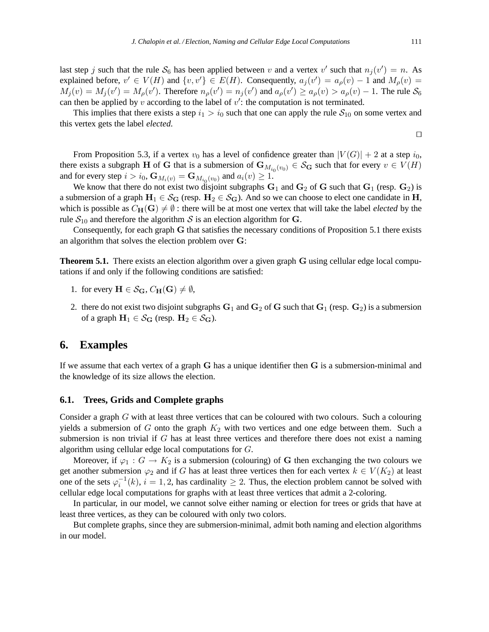last step j such that the rule  $S_6$  has been applied between v and a vertex v' such that  $n_j(v') = n$ . As explained before,  $v' \in V(H)$  and  $\{v, v'\} \in E(H)$ . Consequently,  $a_j(v') = a_{\rho}(v) - 1$  and  $M_{\rho}(v) =$  $M_j(v) = M_j(v') = M_\rho(v')$ . Therefore  $n_\rho(v') = n_j(v')$  and  $a_\rho(v') \ge a_\rho(v) > a_\rho(v) - 1$ . The rule  $S_6$ can then be applied by v according to the label of  $v'$ : the computation is not terminated.

This implies that there exists a step  $i_1 > i_0$  such that one can apply the rule  $S_{10}$  on some vertex and this vertex gets the label *elected*.

⊓⊔

From Proposition 5.3, if a vertex  $v_0$  has a level of confidence greater than  $|V(G)| + 2$  at a step  $i_0$ , there exists a subgraph H of G that is a submersion of  $G_{M_{i_0}(v_0)} \in S_G$  such that for every  $v \in V(H)$ and for every step  $i > i_0$ ,  $\mathbf{G}_{M_i(v)} = \mathbf{G}_{M_{i_0}(v_0)}$  and  $a_i(v) \ge 1$ .

We know that there do not exist two disjoint subgraphs  $G_1$  and  $G_2$  of G such that  $G_1$  (resp.  $G_2$ ) is a submersion of a graph  $H_1 \in S_G$  (resp.  $H_2 \in S_G$ ). And so we can choose to elect one candidate in H, which is possible as  $C_H(G) \neq \emptyset$ : there will be at most one vertex that will take the label *elected* by the rule  $S_{10}$  and therefore the algorithm S is an election algorithm for G.

Consequently, for each graph G that satisfies the necessary conditions of Proposition 5.1 there exists an algorithm that solves the election problem over G:

**Theorem 5.1.** There exists an election algorithm over a given graph G using cellular edge local computations if and only if the following conditions are satisfied:

- 1. for every  $\mathbf{H} \in \mathcal{S}_{\mathbf{G}}, C_{\mathbf{H}}(\mathbf{G}) \neq \emptyset$ ,
- 2. there do not exist two disjoint subgraphs  $G_1$  and  $G_2$  of G such that  $G_1$  (resp.  $G_2$ ) is a submersion of a graph  $H_1 \in S_G$  (resp.  $H_2 \in S_G$ ).

# **6. Examples**

If we assume that each vertex of a graph G has a unique identifier then G is a submersion-minimal and the knowledge of its size allows the election.

### **6.1. Trees, Grids and Complete graphs**

Consider a graph G with at least three vertices that can be coloured with two colours. Such a colouring yields a submersion of G onto the graph  $K_2$  with two vertices and one edge between them. Such a submersion is non trivial if  $G$  has at least three vertices and therefore there does not exist a naming algorithm using cellular edge local computations for G.

Moreover, if  $\varphi_1: G \to K_2$  is a submersion (colouring) of G then exchanging the two colours we get another submersion  $\varphi_2$  and if G has at least three vertices then for each vertex  $k \in V(K_2)$  at least one of the sets  $\varphi_i^{-1}(k)$ ,  $i = 1, 2$ , has cardinality  $\geq 2$ . Thus, the election problem cannot be solved with cellular edge local computations for graphs with at least three vertices that admit a 2-coloring.

In particular, in our model, we cannot solve either naming or election for trees or grids that have at least three vertices, as they can be coloured with only two colors.

But complete graphs, since they are submersion-minimal, admit both naming and election algorithms in our model.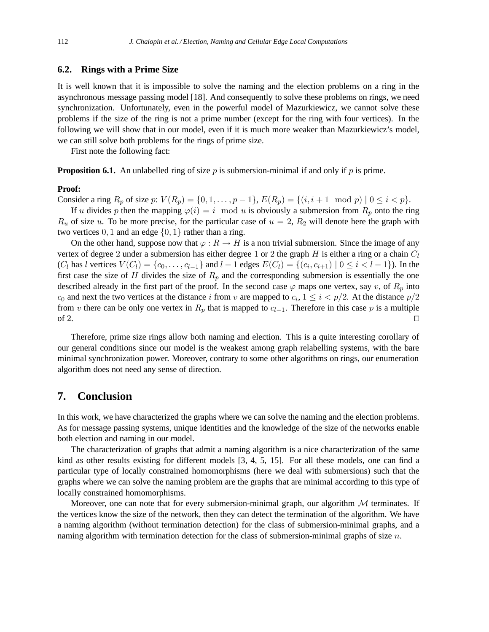## **6.2. Rings with a Prime Size**

It is well known that it is impossible to solve the naming and the election problems on a ring in the asynchronous message passing model [18]. And consequently to solve these problems on rings, we need synchronization. Unfortunately, even in the powerful model of Mazurkiewicz, we cannot solve these problems if the size of the ring is not a prime number (except for the ring with four vertices). In the following we will show that in our model, even if it is much more weaker than Mazurkiewicz's model, we can still solve both problems for the rings of prime size.

First note the following fact:

**Proposition 6.1.** An unlabelled ring of size  $p$  is submersion-minimal if and only if  $p$  is prime.

#### **Proof:**

Consider a ring  $R_p$  of size p:  $V(R_p) = \{0, 1, \ldots, p-1\}$ ,  $E(R_p) = \{(i, i+1 \mod p) | 0 \le i < p\}$ .

If u divides p then the mapping  $\varphi(i) = i \mod u$  is obviously a submersion from  $R_p$  onto the ring  $R_u$  of size u. To be more precise, for the particular case of  $u = 2$ ,  $R_2$  will denote here the graph with two vertices  $0, 1$  and an edge  $\{0, 1\}$  rather than a ring.

On the other hand, suppose now that  $\varphi : R \to H$  is a non trivial submersion. Since the image of any vertex of degree 2 under a submersion has either degree 1 or 2 the graph H is either a ring or a chain  $C_l$  $(C_l$  has l vertices  $V(C_l) = \{c_0, \ldots, c_{l-1}\}\$  and  $l-1$  edges  $E(C_l) = \{(c_i, c_{i+1}) \mid 0 \le i < l-1\}\)$ . In the first case the size of H divides the size of  $R_p$  and the corresponding submersion is essentially the one described already in the first part of the proof. In the second case  $\varphi$  maps one vertex, say v, of  $R_p$  into  $c_0$  and next the two vertices at the distance i from v are mapped to  $c_i$ ,  $1 \le i < p/2$ . At the distance  $p/2$ from v there can be only one vertex in  $R_p$  that is mapped to  $c_{l-1}$ . Therefore in this case p is a multiple of 2.  $□$ 

Therefore, prime size rings allow both naming and election. This is a quite interesting corollary of our general conditions since our model is the weakest among graph relabelling systems, with the bare minimal synchronization power. Moreover, contrary to some other algorithms on rings, our enumeration algorithm does not need any sense of direction.

# **7. Conclusion**

In this work, we have characterized the graphs where we can solve the naming and the election problems. As for message passing systems, unique identities and the knowledge of the size of the networks enable both election and naming in our model.

The characterization of graphs that admit a naming algorithm is a nice characterization of the same kind as other results existing for different models [3, 4, 5, 15]. For all these models, one can find a particular type of locally constrained homomorphisms (here we deal with submersions) such that the graphs where we can solve the naming problem are the graphs that are minimal according to this type of locally constrained homomorphisms.

Moreover, one can note that for every submersion-minimal graph, our algorithm  $M$  terminates. If the vertices know the size of the network, then they can detect the termination of the algorithm. We have a naming algorithm (without termination detection) for the class of submersion-minimal graphs, and a naming algorithm with termination detection for the class of submersion-minimal graphs of size  $n$ .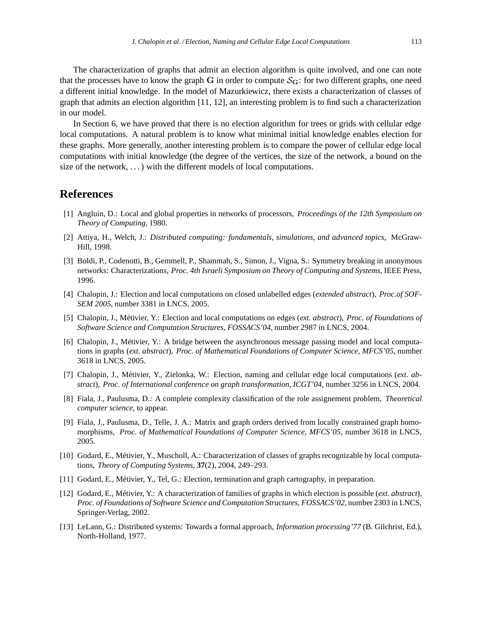The characterization of graphs that admit an election algorithm is quite involved, and one can note that the processes have to know the graph G in order to compute  $\mathcal{S}_{G}$ : for two different graphs, one need a different initial knowledge. In the model of Mazurkiewicz, there exists a characterization of classes of graph that admits an election algorithm [11, 12], an interesting problem is to find such a characterization in our model.

In Section 6, we have proved that there is no election algorithm for trees or grids with cellular edge local computations. A natural problem is to know what minimal initial knowledge enables election for these graphs. More generally, another interesting problem is to compare the power of cellular edge local computations with initial knowledge (the degree of the vertices, the size of the network, a bound on the size of the network, ...) with the different models of local computations.

# **References**

- [1] Angluin, D.: Local and global properties in networks of processors, *Proceedings of the 12th Symposium on Theory of Computing*, 1980.
- [2] Attiya, H., Welch, J.: *Distributed computing: fundamentals, simulations, and advanced topics*, McGraw-Hill, 1998.
- [3] Boldi, P., Codenotti, B., Gemmell, P., Shammah, S., Simon, J., Vigna, S.: Symmetry breaking in anonymous networks: Characterizations, *Proc. 4th Israeli Symposium on Theory of Computing and Systems*, IEEE Press, 1996.
- [4] Chalopin, J.: Election and local computations on closed unlabelled edges (*extended abstract*), *Proc.of SOF-SEM 2005*, number 3381 in LNCS, 2005.
- [5] Chalopin, J., Métivier, Y.: Election and local computations on edges (*ext. abstract*), *Proc. of Foundations of Software Science and Computation Structures, FOSSACS'04*, number 2987 in LNCS, 2004.
- [6] Chalopin, J., Métivier, Y.: A bridge between the asynchronous message passing model and local computations in graphs (*ext. abstract*), *Proc. of Mathematical Foundations of Computer Science, MFCS'05*, number 3618 in LNCS, 2005.
- [7] Chalopin, J., Métivier, Y., Zielonka, W.: Election, naming and cellular edge local computations (*ext. abstract*), *Proc. of International conference on graph transformation, ICGT'04*, number 3256 in LNCS, 2004.
- [8] Fiala, J., Paulusma, D.: A complete complexity classification of the role assignement problem, *Theoretical computer science*, to appear.
- [9] Fiala, J., Paulusma, D., Telle, J. A.: Matrix and graph orders derived from locally constrained graph homomorphisms, *Proc. of Mathematical Foundations of Computer Science, MFCS'05*, number 3618 in LNCS, 2005.
- [10] Godard, E., Métivier, Y., Muscholl, A.: Characterization of classes of graphs recognizable by local computations, *Theory of Computing Systems*, **37**(2), 2004, 249–293.
- [11] Godard, E., Métivier, Y., Tel, G.: Election, termination and graph cartography, in preparation.
- [12] Godard, E., Métivier, Y.: A characterization of families of graphs in which election is possible (*ext. abstract*), *Proc. of Foundations of Software Science and Computation Structures, FOSSACS'02*, number 2303 in LNCS, Springer-Verlag, 2002.
- [13] LeLann, G.: Distributed systems: Towards a formal approach, *Information processing'77* (B. Gilchrist, Ed.), North-Holland, 1977.